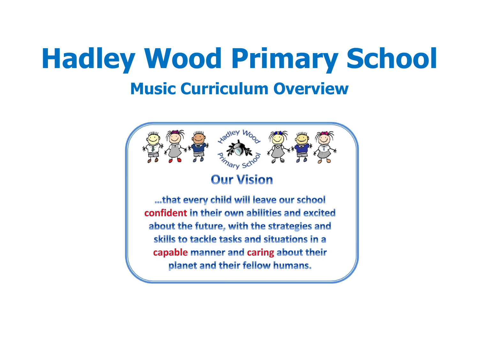# **Hadley Wood Primary School Music Curriculum Overview**

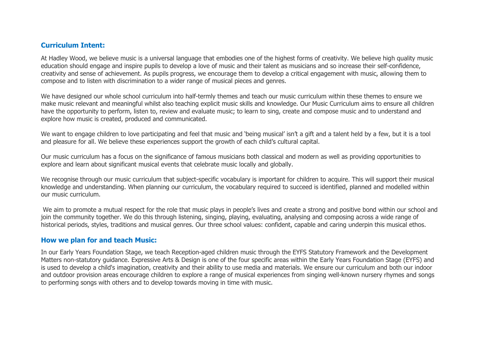#### **Curriculum Intent:**

At Hadley Wood, we believe music is a universal language that embodies one of the highest forms of creativity. We believe high quality music education should engage and inspire pupils to develop a love of music and their talent as musicians and so increase their self-confidence, creativity and sense of achievement. As pupils progress, we encourage them to develop a critical engagement with music, allowing them to compose and to listen with discrimination to a wider range of musical pieces and genres.

We have designed our whole school curriculum into half-termly themes and teach our music curriculum within these themes to ensure we make music relevant and meaningful whilst also teaching explicit music skills and knowledge. Our Music Curriculum aims to ensure all children have the opportunity to perform, listen to, review and evaluate music; to learn to sing, create and compose music and to understand and explore how music is created, produced and communicated.

We want to engage children to love participating and feel that music and 'being musical' isn't a gift and a talent held by a few, but it is a tool and pleasure for all. We believe these experiences support the growth of each child's cultural capital.

Our music curriculum has a focus on the significance of famous musicians both classical and modern as well as providing opportunities to explore and learn about significant musical events that celebrate music locally and globally.

We recognise through our music curriculum that subject-specific vocabulary is important for children to acquire. This will support their musical knowledge and understanding. When planning our curriculum, the vocabulary required to succeed is identified, planned and modelled within our music curriculum.

We aim to promote a mutual respect for the role that music plays in people's lives and create a strong and positive bond within our school and join the community together. We do this through listening, singing, playing, evaluating, analysing and composing across a wide range of historical periods, styles, traditions and musical genres. Our three school values: confident, capable and caring underpin this musical ethos.

#### **How we plan for and teach Music:**

In our Early Years Foundation Stage, we teach Reception-aged children music through the EYFS Statutory Framework and the Development Matters non-statutory guidance. Expressive Arts & Design is one of the four specific areas within the Early Years Foundation Stage (EYFS) and is used to develop a child's imagination, creativity and their ability to use media and materials. We ensure our curriculum and both our indoor and outdoor provision areas encourage children to explore a range of musical experiences from singing well-known nursery rhymes and songs to performing songs with others and to develop towards moving in time with music.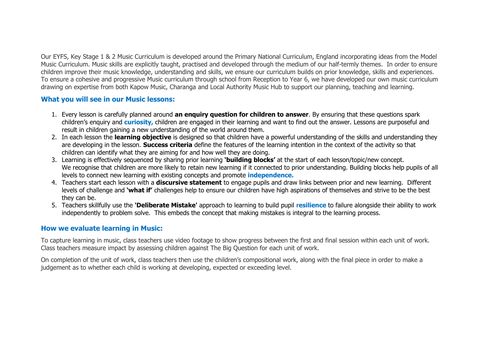Our EYFS, Key Stage 1 & 2 Music Curriculum is developed around the Primary National Curriculum, England incorporating ideas from the Model Music Curriculum. Music skills are explicitly taught, practised and developed through the medium of our half-termly themes. In order to ensure children improve their music knowledge, understanding and skills, we ensure our curriculum builds on prior knowledge, skills and experiences. To ensure a cohesive and progressive Music curriculum through school from Reception to Year 6, we have developed our own music curriculum drawing on expertise from both Kapow Music, Charanga and Local Authority Music Hub to support our planning, teaching and learning.

#### **What you will see in our Music lessons:**

- 1. Every lesson is carefully planned around **an enquiry question for children to answer**. By ensuring that these questions spark children's enquiry and **curiosity,** children are engaged in their learning and want to find out the answer. Lessons are purposeful and result in children gaining a new understanding of the world around them.
- 2. In each lesson the **learning objective** is designed so that children have a powerful understanding of the skills and understanding they are developing in the lesson. **Success criteria** define the features of the learning intention in the context of the activity so that children can identify what they are aiming for and how well they are doing.
- 3. Learning is effectively sequenced by sharing prior learning **'building blocks'** at the start of each lesson/topic/new concept. We recognise that children are more likely to retain new learning if it connected to prior understanding. Building blocks help pupils of all levels to connect new learning with existing concepts and promote **independence.**
- 4. Teachers start each lesson with a **discursive statement** to engage pupils and draw links between prior and new learning. Different levels of challenge and **'what if'** challenges help to ensure our children have high aspirations of themselves and strive to be the best they can be.
- 5. Teachers skillfully use the **'Deliberate Mistake'** approach to learning to build pupil **resilience** to failure alongside their ability to work independently to problem solve. This embeds the concept that making mistakes is integral to the learning process.

#### **How we evaluate learning in Music:**

To capture learning in music, class teachers use video footage to show progress between the first and final session within each unit of work. Class teachers measure impact by assessing children against The Big Question for each unit of work.

On completion of the unit of work, class teachers then use the children's compositional work, along with the final piece in order to make a judgement as to whether each child is working at developing, expected or exceeding level.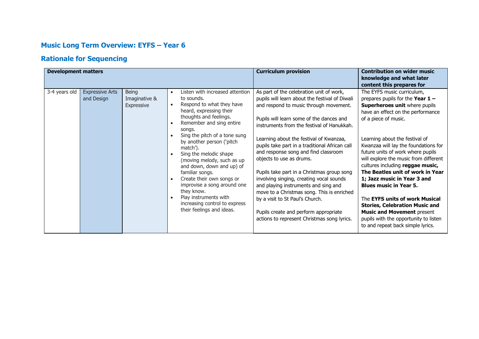## **Music Long Term Overview: EYFS – Year 6**

## **Rationale for Sequencing**

| <b>Development matters</b> |                                      |                                             |                                                                                                                                                                                                                                                                                                                                                                                                                                                                                                                                                                              | <b>Curriculum provision</b>                                                                                                                                                                                                                                                                                                                                                                                                                                                                                                                                                                                                                                                                                | <b>Contribution on wider music</b><br>knowledge and what later<br>content this prepares for                                                                                                                                                                                                                                                                                                                                                                                                                                                                                                                                                                         |
|----------------------------|--------------------------------------|---------------------------------------------|------------------------------------------------------------------------------------------------------------------------------------------------------------------------------------------------------------------------------------------------------------------------------------------------------------------------------------------------------------------------------------------------------------------------------------------------------------------------------------------------------------------------------------------------------------------------------|------------------------------------------------------------------------------------------------------------------------------------------------------------------------------------------------------------------------------------------------------------------------------------------------------------------------------------------------------------------------------------------------------------------------------------------------------------------------------------------------------------------------------------------------------------------------------------------------------------------------------------------------------------------------------------------------------------|---------------------------------------------------------------------------------------------------------------------------------------------------------------------------------------------------------------------------------------------------------------------------------------------------------------------------------------------------------------------------------------------------------------------------------------------------------------------------------------------------------------------------------------------------------------------------------------------------------------------------------------------------------------------|
| 3-4 years old              | <b>Expressive Arts</b><br>and Design | <b>Being</b><br>Imaginative &<br>Expressive | Listen with increased attention<br>$\bullet$<br>to sounds.<br>Respond to what they have<br>$\bullet$<br>heard, expressing their<br>thoughts and feelings.<br>Remember and sing entire<br>songs.<br>Sing the pitch of a tone sung<br>by another person ('pitch<br>match').<br>Sing the melodic shape<br>$\bullet$<br>(moving melody, such as up<br>and down, down and up) of<br>familiar songs.<br>Create their own songs or<br>$\bullet$<br>improvise a song around one<br>they know.<br>Play instruments with<br>increasing control to express<br>their feelings and ideas. | As part of the celebration unit of work,<br>pupils will learn about the festival of Diwali<br>and respond to music through movement.<br>Pupils will learn some of the dances and<br>instruments from the festival of Hanukkah.<br>Learning about the festival of Kwanzaa,<br>pupils take part in a traditional African call<br>and response song and find classroom<br>objects to use as drums.<br>Pupils take part in a Christmas group song<br>involving singing, creating vocal sounds<br>and playing instruments and sing and<br>move to a Christmas song. This is enriched<br>by a visit to St Paul's Church.<br>Pupils create and perform appropriate<br>actions to represent Christmas song lyrics. | The EYFS music curriculum,<br>prepares pupils for the Year $1 -$<br>Superheroes unit where pupils<br>have an effect on the performance<br>of a piece of music.<br>Learning about the festival of<br>Kwanzaa will lay the foundations for<br>future units of work where pupils<br>will explore the music from different<br>cultures including reggae music,<br>The Beatles unit of work in Year<br>1; Jazz music in Year 3 and<br><b>Blues music in Year 5.</b><br>The <b>EYFS units of work Musical</b><br><b>Stories, Celebration Music and</b><br><b>Music and Movement present</b><br>pupils with the opportunity to listen<br>to and repeat back simple lyrics. |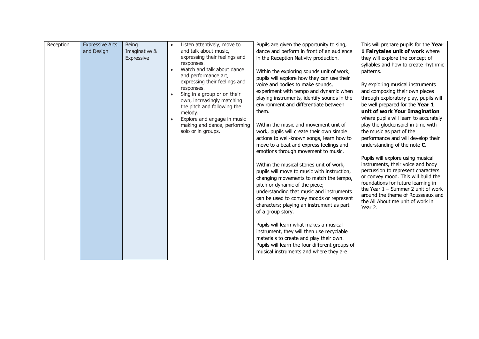| Reception | <b>Expressive Arts</b><br>and Design | <b>Being</b><br>Imaginative &<br>Expressive | Listen attentively, move to<br>and talk about music,<br>expressing their feelings and<br>responses.<br>Watch and talk about dance<br>and performance art,<br>expressing their feelings and<br>responses.<br>Sing in a group or on their<br>own, increasingly matching<br>the pitch and following the<br>melody.<br>Explore and engage in music<br>making and dance, performing<br>solo or in groups. | Pupils are given the opportunity to sing,<br>dance and perform in front of an audience<br>in the Reception Nativity production.<br>Within the exploring sounds unit of work,<br>pupils will explore how they can use their<br>voice and bodies to make sounds,<br>experiment with tempo and dynamic when<br>playing instruments, identify sounds in the<br>environment and differentiate between<br>them.<br>Within the music and movement unit of<br>work, pupils will create their own simple<br>actions to well-known songs, learn how to<br>move to a beat and express feelings and<br>emotions through movement to music.<br>Within the musical stories unit of work,<br>pupils will move to music with instruction,<br>changing movements to match the tempo,<br>pitch or dynamic of the piece;<br>understanding that music and instruments<br>can be used to convey moods or represent<br>characters; playing an instrument as part<br>of a group story.<br>Pupils will learn what makes a musical<br>instrument, they will then use recyclable | This will prepare pupils for the Year<br>1 Fairytales unit of work where<br>they will explore the concept of<br>syllables and how to create rhythmic<br>patterns.<br>By exploring musical instruments<br>and composing their own pieces<br>through exploratory play, pupils will<br>be well prepared for the Year 1<br>unit of work Your Imagination<br>where pupils will learn to accurately<br>play the glockenspiel in time with<br>the music as part of the<br>performance and will develop their<br>understanding of the note C.<br>Pupils will explore using musical<br>instruments, their voice and body<br>percussion to represent characters<br>or convey mood. This will build the<br>foundations for future learning in<br>the Year $1$ – Summer 2 unit of work<br>around the theme of Rousseaux and<br>the All About me unit of work in<br>Year 2. |
|-----------|--------------------------------------|---------------------------------------------|------------------------------------------------------------------------------------------------------------------------------------------------------------------------------------------------------------------------------------------------------------------------------------------------------------------------------------------------------------------------------------------------------|--------------------------------------------------------------------------------------------------------------------------------------------------------------------------------------------------------------------------------------------------------------------------------------------------------------------------------------------------------------------------------------------------------------------------------------------------------------------------------------------------------------------------------------------------------------------------------------------------------------------------------------------------------------------------------------------------------------------------------------------------------------------------------------------------------------------------------------------------------------------------------------------------------------------------------------------------------------------------------------------------------------------------------------------------------|----------------------------------------------------------------------------------------------------------------------------------------------------------------------------------------------------------------------------------------------------------------------------------------------------------------------------------------------------------------------------------------------------------------------------------------------------------------------------------------------------------------------------------------------------------------------------------------------------------------------------------------------------------------------------------------------------------------------------------------------------------------------------------------------------------------------------------------------------------------|
|           |                                      |                                             |                                                                                                                                                                                                                                                                                                                                                                                                      | materials to create and play their own.<br>Pupils will learn the four different groups of<br>musical instruments and where they are                                                                                                                                                                                                                                                                                                                                                                                                                                                                                                                                                                                                                                                                                                                                                                                                                                                                                                                    |                                                                                                                                                                                                                                                                                                                                                                                                                                                                                                                                                                                                                                                                                                                                                                                                                                                                |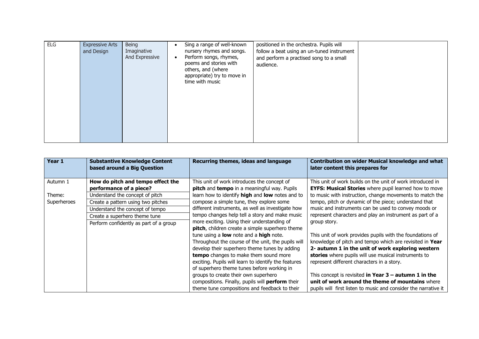| <b>ELG</b> | <b>Expressive Arts</b><br>and Design | Being<br>Imaginative<br>And Expressive | ٠<br>$\bullet$ | Sing a range of well-known<br>nursery rhymes and songs.<br>Perform songs, rhymes,<br>poems and stories with<br>others, and (where<br>appropriate) try to move in<br>time with music | positioned in the orchestra. Pupils will<br>follow a beat using an un-tuned instrument<br>and perform a practised song to a small<br>audience. |  |
|------------|--------------------------------------|----------------------------------------|----------------|-------------------------------------------------------------------------------------------------------------------------------------------------------------------------------------|------------------------------------------------------------------------------------------------------------------------------------------------|--|
|------------|--------------------------------------|----------------------------------------|----------------|-------------------------------------------------------------------------------------------------------------------------------------------------------------------------------------|------------------------------------------------------------------------------------------------------------------------------------------------|--|

| Year 1      | <b>Substantive Knowledge Content</b><br>based around a Big Question | Recurring themes, ideas and language                      | <b>Contribution on wider Musical knowledge and what</b><br>later content this prepares for |
|-------------|---------------------------------------------------------------------|-----------------------------------------------------------|--------------------------------------------------------------------------------------------|
| Autumn 1    | How do pitch and tempo effect the                                   | This unit of work introduces the concept of               | This unit of work builds on the unit of work introduced in                                 |
|             | performance of a piece?                                             | <b>pitch</b> and <b>tempo</b> in a meaningful way. Pupils | <b>EYFS: Musical Stories</b> where pupil learned how to move                               |
| Theme:      | Understand the concept of pitch                                     | learn how to identify high and low notes and to           | to music with instruction, change movements to match the                                   |
| Superheroes | Create a pattern using two pitches                                  | compose a simple tune, they explore some                  | tempo, pitch or dynamic of the piece; understand that                                      |
|             | Understand the concept of tempo                                     | different instruments, as well as investigate how         | music and instruments can be used to convey moods or                                       |
|             | Create a superhero theme tune                                       | tempo changes help tell a story and make music            | represent characters and play an instrument as part of a                                   |
|             | Perform confidently as part of a group                              | more exciting. Using their understanding of               | group story.                                                                               |
|             |                                                                     | pitch, children create a simple superhero theme           |                                                                                            |
|             |                                                                     | tune using a low note and a high note.                    | This unit of work provides pupils with the foundations of                                  |
|             |                                                                     | Throughout the course of the unit, the pupils will        | knowledge of pitch and tempo which are revisited in Year                                   |
|             |                                                                     | develop their superhero theme tunes by adding             | 2- autumn 1 in the unit of work exploring western                                          |
|             |                                                                     | tempo changes to make them sound more                     | stories where pupils will use musical instruments to                                       |
|             |                                                                     | exciting. Pupils will learn to identify the features      | represent different characters in a story.                                                 |
|             |                                                                     | of superhero theme tunes before working in                |                                                                                            |
|             |                                                                     | groups to create their own superhero                      | This concept is revisited in Year $3$ – autumn 1 in the                                    |
|             |                                                                     | compositions. Finally, pupils will perform their          | unit of work around the theme of mountains where                                           |
|             |                                                                     | theme tune compositions and feedback to their             | pupils will first listen to music and consider the narrative it                            |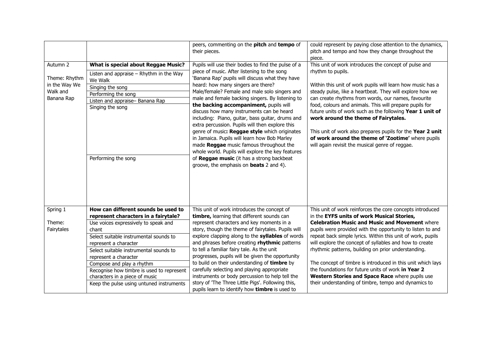| Autumn 2<br>Theme: Rhythm<br>in the Way We<br>Walk and<br>Banana Rap | What is special about Reggae Music?<br>Listen and appraise $-$ Rhythm in the Way<br>We Walk<br>Singing the song<br>Performing the song<br>Listen and appraise- Banana Rap<br>Singing the song<br>Performing the song | peers, commenting on the pitch and tempo of<br>their pieces.<br>Pupils will use their bodies to find the pulse of a<br>piece of music. After listening to the song<br>'Banana Rap' pupils will discuss what they have<br>heard: how many singers are there?<br>Male/female? Female and male solo singers and<br>male and female backing singers. By listening to<br>the backing accompaniment, pupils will<br>discuss how many instruments can be heard<br>including: Piano, guitar, bass guitar, drums and<br>extra percussion. Pupils will then explore this<br>genre of music: Reggae style which originates<br>in Jamaica. Pupils will learn how Bob Marley<br>made Reggae music famous throughout the<br>whole world. Pupils will explore the key features<br>of Reggae music (it has a strong backbeat<br>groove, the emphasis on <b>beats</b> 2 and 4). | could represent by paying close attention to the dynamics,<br>pitch and tempo and how they change throughout the<br>piece.<br>This unit of work introduces the concept of pulse and<br>rhythm to pupils.<br>Within this unit of work pupils will learn how music has a<br>steady pulse, like a heartbeat. They will explore how we<br>can create rhythms from words, our names, favourite<br>food, colours and animals. This will prepare pupils for<br>future units of work such as the following Year 1 unit of<br>work around the theme of Fairytales.<br>This unit of work also prepares pupils for the Year 2 unit<br>of work around the theme of 'Zootime' where pupils<br>will again revisit the musical genre of reggae. |
|----------------------------------------------------------------------|----------------------------------------------------------------------------------------------------------------------------------------------------------------------------------------------------------------------|----------------------------------------------------------------------------------------------------------------------------------------------------------------------------------------------------------------------------------------------------------------------------------------------------------------------------------------------------------------------------------------------------------------------------------------------------------------------------------------------------------------------------------------------------------------------------------------------------------------------------------------------------------------------------------------------------------------------------------------------------------------------------------------------------------------------------------------------------------------|----------------------------------------------------------------------------------------------------------------------------------------------------------------------------------------------------------------------------------------------------------------------------------------------------------------------------------------------------------------------------------------------------------------------------------------------------------------------------------------------------------------------------------------------------------------------------------------------------------------------------------------------------------------------------------------------------------------------------------|
| Spring 1                                                             | How can different sounds be used to                                                                                                                                                                                  | This unit of work introduces the concept of                                                                                                                                                                                                                                                                                                                                                                                                                                                                                                                                                                                                                                                                                                                                                                                                                    | This unit of work reinforces the core concepts introduced                                                                                                                                                                                                                                                                                                                                                                                                                                                                                                                                                                                                                                                                        |
|                                                                      | represent characters in a fairytale?                                                                                                                                                                                 | timbre, learning that different sounds can                                                                                                                                                                                                                                                                                                                                                                                                                                                                                                                                                                                                                                                                                                                                                                                                                     | in the EYFS units of work Musical Stories,                                                                                                                                                                                                                                                                                                                                                                                                                                                                                                                                                                                                                                                                                       |
| Theme:<br>Fairytales                                                 | Use voices expressively to speak and<br>chant                                                                                                                                                                        | represent characters and key moments in a<br>story, though the theme of fairytales. Pupils will                                                                                                                                                                                                                                                                                                                                                                                                                                                                                                                                                                                                                                                                                                                                                                | <b>Celebration Music and Music and Movement where</b><br>pupils were provided with the opportunity to listen to and                                                                                                                                                                                                                                                                                                                                                                                                                                                                                                                                                                                                              |
|                                                                      | Select suitable instrumental sounds to<br>represent a character                                                                                                                                                      | explore clapping along to the syllables of words<br>and phrases before creating rhythmic patterns                                                                                                                                                                                                                                                                                                                                                                                                                                                                                                                                                                                                                                                                                                                                                              | repeat back simple lyrics. Within this unit of work, pupils<br>will explore the concept of syllables and how to create                                                                                                                                                                                                                                                                                                                                                                                                                                                                                                                                                                                                           |
|                                                                      | Select suitable instrumental sounds to                                                                                                                                                                               | to tell a familiar fairy tale. As the unit<br>progresses, pupils will be given the opportunity                                                                                                                                                                                                                                                                                                                                                                                                                                                                                                                                                                                                                                                                                                                                                                 | rhythmic patterns, building on prior understanding.                                                                                                                                                                                                                                                                                                                                                                                                                                                                                                                                                                                                                                                                              |
|                                                                      | represent a character<br>Compose and play a rhythm                                                                                                                                                                   | to build on their understanding of timbre by                                                                                                                                                                                                                                                                                                                                                                                                                                                                                                                                                                                                                                                                                                                                                                                                                   | The concept of timbre is introduced in this unit which lays                                                                                                                                                                                                                                                                                                                                                                                                                                                                                                                                                                                                                                                                      |
|                                                                      | Recognise how timbre is used to represent                                                                                                                                                                            | carefully selecting and playing appropriate                                                                                                                                                                                                                                                                                                                                                                                                                                                                                                                                                                                                                                                                                                                                                                                                                    | the foundations for future units of work in Year 2                                                                                                                                                                                                                                                                                                                                                                                                                                                                                                                                                                                                                                                                               |
|                                                                      | characters in a piece of music                                                                                                                                                                                       | instruments or body percussion to help tell the                                                                                                                                                                                                                                                                                                                                                                                                                                                                                                                                                                                                                                                                                                                                                                                                                | Western Stories and Space Race where pupils use                                                                                                                                                                                                                                                                                                                                                                                                                                                                                                                                                                                                                                                                                  |
|                                                                      | Keep the pulse using untuned instruments                                                                                                                                                                             | story of 'The Three Little Pigs'. Following this,<br>pupils learn to identify how timbre is used to                                                                                                                                                                                                                                                                                                                                                                                                                                                                                                                                                                                                                                                                                                                                                            | their understanding of timbre, tempo and dynamics to                                                                                                                                                                                                                                                                                                                                                                                                                                                                                                                                                                                                                                                                             |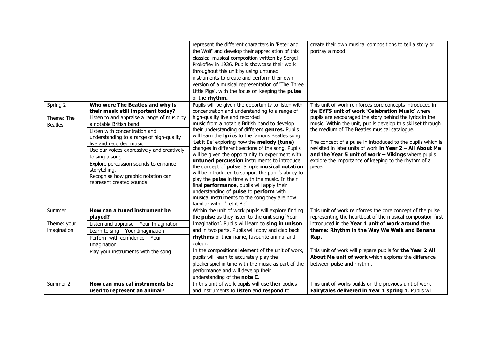|                                          |                                                                                                                                                                                                                                                                                                                                                                                                                                                     | represent the different characters in 'Peter and<br>the Wolf' and develop their appreciation of this<br>classical musical composition written by Sergei<br>Prokofiev in 1936. Pupils showcase their work<br>throughout this unit by using untuned<br>instruments to create and perform their own<br>version of a musical representation of 'The Three<br>Little Pigs', with the focus on keeping the pulse<br>of the rhythm.                                                                                                                                                                                                                                                                                                                                                                                                                    | create their own musical compositions to tell a story or<br>portray a mood.                                                                                                                                                                                                                                                                                                                                                                                                                                                                 |
|------------------------------------------|-----------------------------------------------------------------------------------------------------------------------------------------------------------------------------------------------------------------------------------------------------------------------------------------------------------------------------------------------------------------------------------------------------------------------------------------------------|-------------------------------------------------------------------------------------------------------------------------------------------------------------------------------------------------------------------------------------------------------------------------------------------------------------------------------------------------------------------------------------------------------------------------------------------------------------------------------------------------------------------------------------------------------------------------------------------------------------------------------------------------------------------------------------------------------------------------------------------------------------------------------------------------------------------------------------------------|---------------------------------------------------------------------------------------------------------------------------------------------------------------------------------------------------------------------------------------------------------------------------------------------------------------------------------------------------------------------------------------------------------------------------------------------------------------------------------------------------------------------------------------------|
| Spring 2<br>Theme: The<br><b>Beatles</b> | Who were The Beatles and why is<br>their music still important today?<br>Listen to and appraise a range of music by<br>a notable British band.<br>Listen with concentration and<br>understanding to a range of high-quality<br>live and recorded music.<br>Use our voices expressively and creatively<br>to sing a song.<br>Explore percussion sounds to enhance<br>storytelling.<br>Recognise how graphic notation can<br>represent created sounds | Pupils will be given the opportunity to listen with<br>concentration and understanding to a range of<br>high-quality live and recorded<br>music from a notable British band to develop<br>their understanding of different genres. Pupils<br>will learn the <b>lyrics</b> to the famous Beatles song<br>'Let it Be' exploring how the melody (tune)<br>changes in different sections of the song. Pupils<br>will be given the opportunity to experiment with<br>untuned percussion instruments to introduce<br>the concept of pulse. Simple musical notation<br>will be introduced to support the pupil's ability to<br>play the pulse in time with the music. In their<br>final performance, pupils will apply their<br>understanding of pulse to perform with<br>musical instruments to the song they are now<br>familiar with - 'Let it Be'. | This unit of work reinforces core concepts introduced in<br>the EYFS unit of work 'Celebration Music' where<br>pupils are encouraged the story behind the lyrics in the<br>music. Within the unit, pupils develop this skillset through<br>the medium of The Beatles musical catalogue.<br>The concept of a pulse in introduced to the pupils which is<br>revisited in later units of work in Year 2 - All About Me<br>and the Year 5 unit of work - Vikings where pupils<br>explore the importance of keeping to the rhythm of a<br>piece. |
| Summer 1<br>Theme: your<br>imagination   | How can a tuned instrument be<br>played?<br>Listen and appraise - Your Imagination<br>Learn to sing - Your Imagination<br>Perform with confidence - Your<br>Imagination<br>Play your instruments with the song                                                                                                                                                                                                                                      | Within the unit of work pupils will explore finding<br>the pulse as they listen to the unit song 'Your<br>Imagination'. Pupils will learn to sing in unison<br>and in two parts. Pupils will copy and clap back<br>rhythms of their name, favourite animal and<br>colour.<br>In the compositional element of the unit of work,<br>pupils will learn to accurately play the<br>glockenspiel in time with the music as part of the<br>performance and will develop their<br>understanding of the note C.                                                                                                                                                                                                                                                                                                                                          | This unit of work reinforces the core concept of the pulse<br>representing the heartbeat of the musical composition first<br>introduced in the Year 1 unit of work around the<br>theme: Rhythm in the Way We Walk and Banana<br>Rap.<br>This unit of work will prepare pupils for the Year 2 All<br>About Me unit of work which explores the difference<br>between pulse and rhythm.                                                                                                                                                        |
| Summer 2                                 | How can musical instruments be<br>used to represent an animal?                                                                                                                                                                                                                                                                                                                                                                                      | In this unit of work pupils will use their bodies<br>and instruments to listen and respond to                                                                                                                                                                                                                                                                                                                                                                                                                                                                                                                                                                                                                                                                                                                                                   | This unit of works builds on the previous unit of work<br>Fairytales delivered in Year 1 spring 1. Pupils will                                                                                                                                                                                                                                                                                                                                                                                                                              |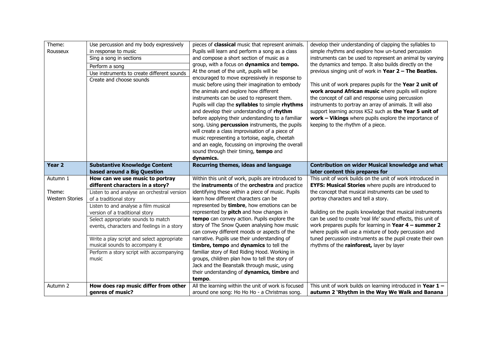| Theme:<br>Rousseux                           | Use percussion and my body expressively<br>in response to music<br>Sing a song in sections<br>Perform a song<br>Use instruments to create different sounds<br>Create and choose sounds                                                                                                                                                                                                                                                          | pieces of <b>classical</b> music that represent animals.<br>Pupils will learn and perform a song as a class<br>and compose a short section of music as a<br>group, with a focus on dynamics and tempo.<br>At the onset of the unit, pupils will be<br>encouraged to move expressively in response to<br>music before using their imagination to embody<br>the animals and explore how different<br>instruments can be used to represent them.<br>Pupils will clap the syllables to simple rhythms<br>and develop their understanding of rhythm<br>before applying their understanding to a familiar<br>song. Using <b>percussion</b> instruments, the pupils<br>will create a class improvisation of a piece of<br>music representing a tortoise, eagle, cheetah<br>and an eagle, focussing on improving the overall<br>sound through their timing, tempo and<br>dynamics. | develop their understanding of clapping the syllables to<br>simple rhythms and explore how un-tuned percussion<br>instruments can be used to represent an animal by varying<br>the dynamics and tempo. It also builds directly on the<br>previous singing unit of work in Year 2 - The Beatles.<br>This unit of work prepares pupils for the Year 2 unit of<br>work around African music where pupils will explore<br>the concept of call and response using percussion<br>instruments to portray an array of animals. It will also<br>support learning across KS2 such as the Year 5 unit of<br>work - Vikings where pupils explore the importance of<br>keeping to the rhythm of a piece. |
|----------------------------------------------|-------------------------------------------------------------------------------------------------------------------------------------------------------------------------------------------------------------------------------------------------------------------------------------------------------------------------------------------------------------------------------------------------------------------------------------------------|----------------------------------------------------------------------------------------------------------------------------------------------------------------------------------------------------------------------------------------------------------------------------------------------------------------------------------------------------------------------------------------------------------------------------------------------------------------------------------------------------------------------------------------------------------------------------------------------------------------------------------------------------------------------------------------------------------------------------------------------------------------------------------------------------------------------------------------------------------------------------|---------------------------------------------------------------------------------------------------------------------------------------------------------------------------------------------------------------------------------------------------------------------------------------------------------------------------------------------------------------------------------------------------------------------------------------------------------------------------------------------------------------------------------------------------------------------------------------------------------------------------------------------------------------------------------------------|
| Year <sub>2</sub>                            | <b>Substantive Knowledge Content</b><br>based around a Big Question                                                                                                                                                                                                                                                                                                                                                                             | Recurring themes, ideas and language                                                                                                                                                                                                                                                                                                                                                                                                                                                                                                                                                                                                                                                                                                                                                                                                                                       | Contribution on wider Musical knowledge and what<br>later content this prepares for                                                                                                                                                                                                                                                                                                                                                                                                                                                                                                                                                                                                         |
| Autumn 1<br>Theme:<br><b>Western Stories</b> | How can we use music to portray<br>different characters in a story?<br>Listen to and analyse an orchestral version<br>of a traditional story<br>Listen to and analyse a film musical<br>version of a traditional story<br>Select appropriate sounds to match<br>events, characters and feelings in a story<br>Write a play script and select appropriate<br>musical sounds to accompany it<br>Perform a story script with accompanying<br>music | Within this unit of work, pupils are introduced to<br>the instruments of the orchestra and practice<br>identifying these within a piece of music. Pupils<br>learn how different characters can be<br>represented by timbre, how emotions can be<br>represented by <b>pitch</b> and how changes in<br>tempo can convey action. Pupils explore the<br>story of The Snow Queen analysing how music<br>can convey different moods or aspects of the<br>narrative. Pupils use their understanding of<br>timbre, tempo and dynamics to tell the<br>familiar story of Red Riding Hood. Working in<br>groups, children plan how to tell the story of<br>Jack and the Beanstalk through music, using<br>their understanding of dynamics, timbre and<br>tempo.                                                                                                                       | This unit of work builds on the unit of work introduced in<br><b>EYFS: Musical Stories</b> where pupils are introduced to<br>the concept that musical instruments can be used to<br>portray characters and tell a story.<br>Building on the pupils knowledge that musical instruments<br>can be used to create 'real life' sound effects, this unit of<br>work prepares pupils for learning in Year $4 -$ summer 2<br>where pupils will use a mixture of body percussion and<br>tuned percussion instruments as the pupil create their own<br>rhythms of the rainforest, layer by layer                                                                                                     |
| Autumn 2                                     | How does rap music differ from other<br>genres of music?                                                                                                                                                                                                                                                                                                                                                                                        | All the learning within the unit of work is focused<br>around one song: Ho Ho Ho - a Christmas song.                                                                                                                                                                                                                                                                                                                                                                                                                                                                                                                                                                                                                                                                                                                                                                       | This unit of work builds on learning introduced in Year $1-$<br>autumn 2 'Rhythm in the Way We Walk and Banana                                                                                                                                                                                                                                                                                                                                                                                                                                                                                                                                                                              |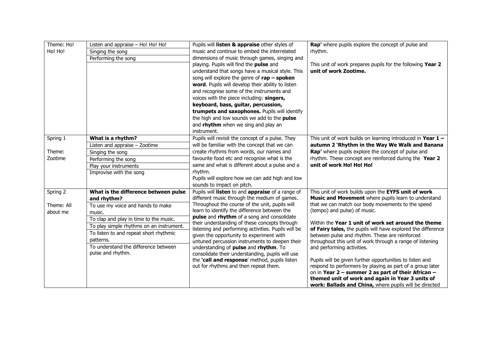| Theme: Ho! | Listen and appraise - Ho! Ho! Ho!        | Pupils will listen & appraise other styles of                                                     | Rap' where pupils explore the concept of pulse and            |
|------------|------------------------------------------|---------------------------------------------------------------------------------------------------|---------------------------------------------------------------|
| Ho! Ho!    | Singing the song                         | music and continue to embed the interrelated                                                      | rhythm.                                                       |
|            | Performing the song                      | dimensions of music through games, singing and                                                    |                                                               |
|            |                                          | playing. Pupils will find the pulse and                                                           | This unit of work prepares pupils for the following Year 2    |
|            |                                          | understand that songs have a musical style. This                                                  | unit of work Zootime.                                         |
|            |                                          | song will explore the genre of $\mathsf{rap} - \mathsf{spoken}$                                   |                                                               |
|            |                                          | word. Pupils will develop their ability to listen                                                 |                                                               |
|            |                                          | and recognise some of the instruments and                                                         |                                                               |
|            |                                          | voices with the piece including: singers,                                                         |                                                               |
|            |                                          | keyboard, bass, guitar, percussion,                                                               |                                                               |
|            |                                          | trumpets and saxophones. Pupils will identify                                                     |                                                               |
|            |                                          | the high and low sounds we add to the pulse                                                       |                                                               |
|            |                                          | and rhythm when we sing and play an                                                               |                                                               |
|            |                                          | instrument.                                                                                       |                                                               |
| Spring 1   | What is a rhythm?                        | Pupils will revisit the concept of a pulse. They                                                  | This unit of work builds on learning introduced in Year $1 -$ |
|            | Listen and appraise - Zootime            | will be familiar with the concept that we can                                                     | autumn 2 'Rhythm in the Way We Walk and Banana                |
| Theme:     | Singing the song                         | create rhythms from words, our names and                                                          | Rap' where pupils explore the concept of pulse and            |
| Zootime    | Performing the song                      | favourite food etc and recognise what is the                                                      | rhythm. These concept are reinforced during the Year 2        |
|            | Play your instruments                    | same and what is different about a pulse and a                                                    | unit of work Ho! Ho! Ho!                                      |
|            | Improvise with the song                  | rhythm.                                                                                           |                                                               |
|            |                                          | Pupils will explore how we can add high and low                                                   |                                                               |
| Spring 2   | What is the difference between pulse     | sounds to impact on pitch.                                                                        | This unit of work builds upon the EYFS unit of work           |
|            | and rhythm?                              | Pupils will listen to and appraise of a range of<br>different music through the medium of games.  | Music and Movement where pupils learn to understand           |
| Theme: All | To use my voice and hands to make        | Throughout the course of the unit, pupils will                                                    | that we can match our body movements to the speed             |
| about me   | music.                                   | learn to identify the difference between the                                                      | (tempo) and pulse) of music.                                  |
|            | To clap and play in time to the music.   | pulse and rhythm of a song and consolidate                                                        |                                                               |
|            | To play simple rhythms on an instrument. | their understanding of these concepts through                                                     | Within the Year 1 unit of work set around the theme           |
|            | To listen to and repeat short rhythmic   | listening and performing activities. Pupils will be                                               | of Fairy tales, the pupils will have explored the difference  |
|            | patterns.                                | given the opportunity to experiment with                                                          | between pulse and rhythm. These are reinforced                |
|            | To understand the difference between     | untuned percussion instruments to deepen their                                                    | throughout this unit of work through a range of listening     |
|            | pulse and rhythm.                        | understanding of pulse and rhythm. To                                                             | and performing activities.                                    |
|            |                                          | consolidate their understanding, pupils will use<br>the 'call and response' method, pupils listen | Pupils will be given further opportunities to listen and      |
|            |                                          | out for rhythms and then repeat them.                                                             | respond to performers by playing as part of a group later     |
|            |                                          |                                                                                                   | on in Year 2 - summer 2 as part of their African -            |
|            |                                          |                                                                                                   | themed unit of work and again in Year 3 units of              |
|            |                                          |                                                                                                   | work: Ballads and China, where pupils will be directed        |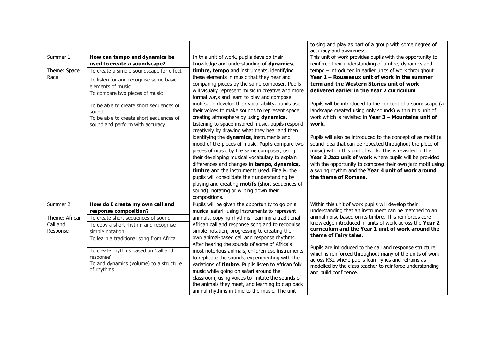|                |                                                                            |                                                                                                                                                | to sing and play as part of a group with some degree of<br>accuracy and awareness.                                                                                                   |
|----------------|----------------------------------------------------------------------------|------------------------------------------------------------------------------------------------------------------------------------------------|--------------------------------------------------------------------------------------------------------------------------------------------------------------------------------------|
| Summer 1       | How can tempo and dynamics be<br>used to create a soundscape?              | In this unit of work, pupils develop their<br>knowledge and understanding of dynamics,                                                         | This unit of work provides pupils with the opportunity to<br>reinforce their understanding of timbre, dynamics and                                                                   |
| Theme: Space   | To create a simple soundscape for effect                                   | timbre, tempo and instruments, identifying                                                                                                     | tempo - introduced in earlier units of work throughout                                                                                                                               |
| Race           | To listen for and recognise some basic<br>elements of music                | these elements in music that they hear and<br>comparing pieces by the same composer. Pupils                                                    | Year 1 - Rousseaux unit of work in the summer<br>term and the Western Stories unit of work                                                                                           |
|                | To compare two pieces of music                                             | will visually represent music in creative and more<br>formal ways and learn to play and compose                                                | delivered earlier in the Year 2 curriculum                                                                                                                                           |
|                | To be able to create short sequences of<br>sound                           | motifs. To develop their vocal ability, pupils use<br>their voices to make sounds to represent space,                                          | Pupils will be introduced to the concept of a soundscape (a<br>landscape created using only sounds) within this unit of                                                              |
|                | To be able to create short sequences of<br>sound and perform with accuracy | creating atmosphere by using dynamics.<br>Listening to space-inspired music, pupils respond<br>creatively by drawing what they hear and then   | work which is revisited in Year $3 -$ Mountains unit of<br>work.                                                                                                                     |
|                |                                                                            | identifying the dynamics, instruments and<br>mood of the pieces of music. Pupils compare two<br>pieces of music by the same composer, using    | Pupils will also be introduced to the concept of as motif (a<br>sound idea that can be repeated throughout the piece of<br>music) within this unit of work. This is revisited in the |
|                |                                                                            | their developing musical vocabulary to explain<br>differences and changes in tempo, dynamics,<br>timbre and the instruments used. Finally, the | Year 3 Jazz unit of work where pupils will be provided<br>with the opportunity to compose their own jazz motif using<br>a swung rhythm and the Year 4 unit of work around            |
|                |                                                                            | pupils will consolidate their understanding by                                                                                                 | the theme of Romans.                                                                                                                                                                 |
|                |                                                                            | playing and creating motifs (short sequences of<br>sound), notating or writing down their                                                      |                                                                                                                                                                                      |
|                |                                                                            | compositions.                                                                                                                                  |                                                                                                                                                                                      |
| Summer 2       | How do I create my own call and                                            | Pupils will be given the opportunity to go on a                                                                                                | Within this unit of work pupils will develop their                                                                                                                                   |
|                | response composition?                                                      | musical safari; using instruments to represent                                                                                                 | understanding that an instrument can be matched to an                                                                                                                                |
| Theme: African | To create short sequences of sound                                         | animals, copying rhythms, learning a traditional                                                                                               | animal noise based on its timbre. This reinforces core                                                                                                                               |
| Call and       | To copy a short rhythm and recognise                                       | African call and response song and to recognise                                                                                                | knowledge introduced in units of work across the Year 2<br>curriculum and the Year 1 unit of work around the                                                                         |
| Response       | simple notation                                                            | simple notation, progressing to creating their                                                                                                 | theme of Fairy tales.                                                                                                                                                                |
|                | To learn a traditional song from Africa                                    | own animal-based call and response rhythms.<br>After hearing the sounds of some of Africa's                                                    |                                                                                                                                                                                      |
|                | To create rhythms based on 'call and<br>response'                          | most notorious animals, children use instruments<br>to replicate the sounds, experimenting with the                                            | Pupils are introduced to the call and response structure<br>which is reinforced throughout many of the units of work                                                                 |
|                | To add dynamics (volume) to a structure                                    | variations of timbre. Pupils listen to African folk                                                                                            | across KS2 where pupils learn lyrics and refrains as                                                                                                                                 |
|                | of rhythms                                                                 | music while going on safari around the                                                                                                         | modelled by the class teacher to reinforce understanding<br>and build confidence.                                                                                                    |
|                |                                                                            | classroom, using voices to imitate the sounds of                                                                                               |                                                                                                                                                                                      |
|                |                                                                            | the animals they meet, and learning to clap back                                                                                               |                                                                                                                                                                                      |
|                |                                                                            | animal rhythms in time to the music. The unit                                                                                                  |                                                                                                                                                                                      |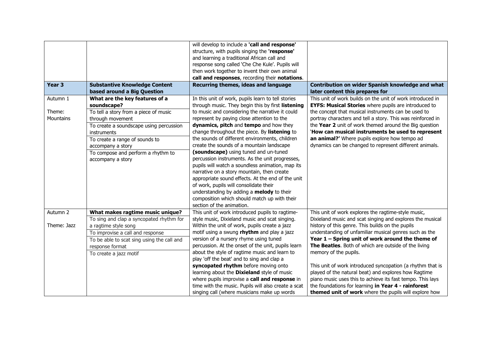|                   |                                            | will develop to include a 'call and response'       |                                                             |
|-------------------|--------------------------------------------|-----------------------------------------------------|-------------------------------------------------------------|
|                   |                                            | structure, with pupils singing the 'response'       |                                                             |
|                   |                                            | and learning a traditional African call and         |                                                             |
|                   |                                            | response song called 'Che Che Kule'. Pupils will    |                                                             |
|                   |                                            | then work together to invent their own animal       |                                                             |
|                   |                                            | call and responses, recording their notations.      |                                                             |
| Year <sub>3</sub> | <b>Substantive Knowledge Content</b>       | Recurring themes, ideas and language                | Contribution on wider Spanish knowledge and what            |
|                   | based around a Big Question                |                                                     | later content this prepares for                             |
| Autumn 1          | What are the key features of a             | In this unit of work, pupils learn to tell stories  | This unit of work builds on the unit of work introduced in  |
|                   | soundscape?                                | through music. They begin this by first listening   | <b>EYFS: Musical Stories</b> where pupils are introduced to |
| Theme:            | To tell a story from a piece of music      | to music and considering the narrative it could     | the concept that musical instruments can be used to         |
| <b>Mountains</b>  | through movement                           | represent by paying close attention to the          | portray characters and tell a story. This was reinforced in |
|                   | To create a soundscape using percussion    | dynamics, pitch and tempo and how they              | the Year 2 unit of work themed around the Big question      |
|                   | instruments                                | change throughout the piece. By listening to        | 'How can musical instruments be used to represent           |
|                   | To create a range of sounds to             | the sounds of different environments, children      | an animal?' Where pupils explore how tempo ad               |
|                   | accompany a story                          | create the sounds of a mountain landscape           | dynamics can be changed to represent different animals.     |
|                   | To compose and perform a rhythm to         | (soundscape) using tuned and un-tuned               |                                                             |
|                   | accompany a story                          | percussion instruments. As the unit progresses,     |                                                             |
|                   |                                            | pupils will watch a soundless animation, map its    |                                                             |
|                   |                                            | narrative on a story mountain, then create          |                                                             |
|                   |                                            | appropriate sound effects. At the end of the unit   |                                                             |
|                   |                                            | of work, pupils will consolidate their              |                                                             |
|                   |                                            | understanding by adding a melody to their           |                                                             |
|                   |                                            | composition which should match up with their        |                                                             |
|                   |                                            | section of the animation.                           |                                                             |
| Autumn 2          | What makes ragtime music unique?           | This unit of work introduced pupils to ragtime-     | This unit of work explores the ragtime-style music,         |
|                   | To sing and clap a syncopated rhythm for   | style music, Dixieland music and scat singing.      | Dixieland music and scat singing and explores the musical   |
| Theme: Jazz       | a ragtime style song                       | Within the unit of work, pupils create a jazz       | history of this genre. This builds on the pupils            |
|                   | To improvise a call and response           | motif using a swung rhythm and play a jazz          | understanding of unfamiliar musical genres such as the      |
|                   | To be able to scat sing using the call and | version of a nursery rhyme using tuned              | Year 1 - Spring unit of work around the theme of            |
|                   | response format                            | percussion. At the onset of the unit, pupils learn  | The Beatles. Both of which are outside of the living        |
|                   | To create a jazz motif                     | about the style of ragtime music and learn to       | memory of the pupils.                                       |
|                   |                                            | play 'off the beat' and to sing and clap a          |                                                             |
|                   |                                            | syncopated rhythm before moving onto                | This unit of work introduced syncopation (a rhythm that is  |
|                   |                                            | learning about the Dixieland style of music         | played of the natural beat) and explores how Ragtime        |
|                   |                                            | where pupils improvise a call and response in       | piano music uses this to achieve its fast tempo. This lays  |
|                   |                                            | time with the music. Pupils will also create a scat | the foundations for learning in Year 4 - rainforest         |
|                   |                                            | singing call (where musicians make up words         | themed unit of work where the pupils will explore how       |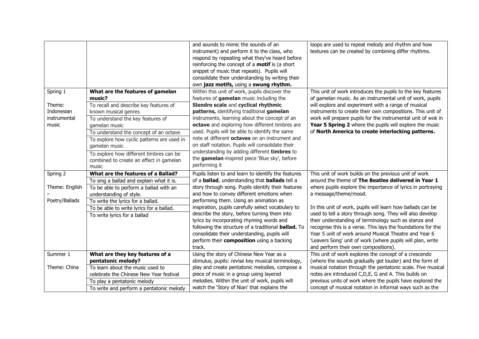|                |                                            | and sounds to mimic the sounds of an                          | loops are used to repeat melody and rhythm and how           |
|----------------|--------------------------------------------|---------------------------------------------------------------|--------------------------------------------------------------|
|                |                                            | instrument) and perform it to the class, who                  | textures can be created by combining differ rhythms.         |
|                |                                            | respond by repeating what they've heard before                |                                                              |
|                |                                            | reinforcing the concept of a <b>motif</b> is (a short         |                                                              |
|                |                                            | snippet of music that repeats). Pupils will                   |                                                              |
|                |                                            | consolidate their understanding by writing their              |                                                              |
|                |                                            | own jazz motifs, using a swung rhythm.                        |                                                              |
| Spring 1       | What are the features of gamelan           | Within this unit of work, pupils discover the                 | This unit of work introduces the pupils to the key features  |
|                | music?                                     | features of gamelan music including the                       | of gamelan music. As an instrumental unit of work, pupils    |
| Theme:         | To recall and describe key features of     | Slendro scale and cyclical rhythmic                           | will explore and experiment with a range of musical          |
| Indonesian     | known musical genres                       | patterns, identifying traditional gamelan                     | instruments to create their own compositions. This unit of   |
| instrumental   | To understand the key features of          | instruments, learning about the concept of an                 | work will prepare pupils for the instrumental unit of wok in |
| music          | gamelan music                              | octave and exploring how different timbres are                | Year 5 Spring 2 where the pupils will explore the music      |
|                | To understand the concept of an octave     | used. Pupils will be able to identify the same                | of North America to create interlocking patterns.            |
|                | To explore how cyclic patterns are used in | note at different octaves on an instrument and                |                                                              |
|                | gamelan music                              | on staff notation. Pupils will consolidate their              |                                                              |
|                | To explore how different timbres can be    | understanding by adding different timbres to                  |                                                              |
|                | combined to create an effect in gamelan    | the gamelan-inspired piece 'Blue sky', before                 |                                                              |
|                | music                                      | performing it                                                 |                                                              |
| Spring 2       | What are the features of a Ballad?         | Pupils listen to and learn to identify the features           | This unit of work builds on the previous unit of work        |
|                | To sing a ballad and explain what it is.   | of a <b>ballad</b> , understanding that <b>ballads</b> tell a | around the theme of The Beatles delivered in Year 1          |
| Theme: English | To be able to perform a ballad with an     | story through song. Pupils identify their features            | where pupils explore the importance of lyrics in portraying  |
|                | understanding of style.                    | and how to convey different emotions when                     | a message/theme/mood.                                        |
| Poetry/Ballads | To write the lyrics for a ballad.          | performing them. Using an animation as                        |                                                              |
|                | To be able to write lyrics for a ballad.   | inspiration, pupils carefully select vocabulary to            | In this unit of work, pupils will learn how ballads can be   |
|                | To write lyrics for a ballad               | describe the story, before turning them into                  | used to tell a story through song. They will also develop    |
|                |                                            | lyrics by incorporating rhyming words and                     | their understanding of terminology such as stanza and        |
|                |                                            | following the structure of a traditional <b>ballad.</b> To    | recognise this is a verse. This lays the foundations for the |
|                |                                            | consolidate their understanding, pupils will                  | Year 5 unit of work around Musical Theatre and Year 6        |
|                |                                            | perform their composition using a backing                     | 'Leavers Song' unit of work (where pupils will plan, write   |
|                |                                            | track.                                                        | and perform their own compositions).                         |
| Summer 1       | What are they key features of a            | Using the story of Chinese New Year as a                      | This unit of work explores the concept of a crescendo        |
|                | pentatonic melody?                         | stimulus, pupils: revise key musical terminology,             | (where the sounds gradually get louder) and the form of      |
| Theme: China   | To learn about the music used to           | play and create pentatonic melodies, compose a                | musical notation through the pentatonic scale. Five musical  |
|                | celebrate the Chinese New Year festival    | piece of music in a group using layered                       | notes are introduced C,D,E, G and A. This builds on          |
|                | To play a pentatonic melody                | melodies. Within the unit of work, pupils will                | previous units of work where the pupils have explored the    |
|                | To write and perform a pentatonic melody   | watch the 'Story of Nian' that explains the                   | concept of musical notation in informal ways such as the     |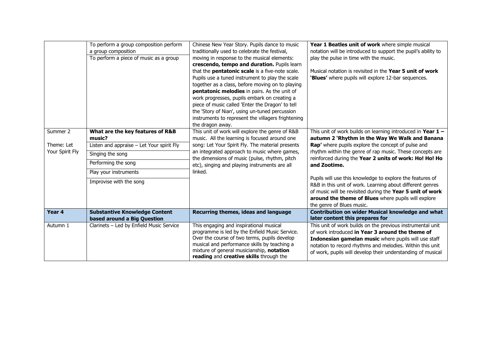|                 | To perform a group composition perform    | Chinese New Year Story. Pupils dance to music                                                 | Year 1 Beatles unit of work where simple musical                                                                   |
|-----------------|-------------------------------------------|-----------------------------------------------------------------------------------------------|--------------------------------------------------------------------------------------------------------------------|
|                 | a group composition                       | traditionally used to celebrate the festival,                                                 | notation will be introduced to support the pupil's ability to                                                      |
|                 | To perform a piece of music as a group    | moving in response to the musical elements:                                                   | play the pulse in time with the music.                                                                             |
|                 |                                           | crescendo, tempo and duration. Pupils learn                                                   |                                                                                                                    |
|                 |                                           | that the <b>pentatonic scale</b> is a five-note scale.                                        | Musical notation is revisited in the Year 5 unit of work                                                           |
|                 |                                           | Pupils use a tuned instrument to play the scale                                               | 'Blues' where pupils will explore 12-bar sequences.                                                                |
|                 |                                           | together as a class, before moving on to playing                                              |                                                                                                                    |
|                 |                                           | pentatonic melodies in pairs. As the unit of                                                  |                                                                                                                    |
|                 |                                           | work progresses, pupils embark on creating a                                                  |                                                                                                                    |
|                 |                                           | piece of music called 'Enter the Dragon' to tell                                              |                                                                                                                    |
|                 |                                           | the 'Story of Nian', using un-tuned percussion                                                |                                                                                                                    |
|                 |                                           | instruments to represent the villagers frightening                                            |                                                                                                                    |
|                 |                                           | the dragon away.                                                                              |                                                                                                                    |
| Summer 2        | What are the key features of R&B          | This unit of work will explore the genre of R&B                                               | This unit of work builds on learning introduced in Year $1 -$                                                      |
|                 | music?                                    | music. All the learning is focused around one                                                 | autumn 2 'Rhythm in the Way We Walk and Banana                                                                     |
| Theme: Let      | Listen and appraise - Let Your spirit Fly | song: Let Your Spirit Fly. The material presents                                              | Rap' where pupils explore the concept of pulse and                                                                 |
| Your Spirit Fly | Singing the song                          | an integrated approach to music where games,<br>the dimensions of music (pulse, rhythm, pitch | rhythm within the genre of rap music. These concepts are<br>reinforced during the Year 2 units of work: Ho! Ho! Ho |
|                 | Performing the song                       | etc), singing and playing instruments are all                                                 | and Zootime.                                                                                                       |
|                 | Play your instruments                     | linked.                                                                                       |                                                                                                                    |
|                 | Improvise with the song                   |                                                                                               | Pupils will use this knowledge to explore the features of                                                          |
|                 |                                           |                                                                                               | R&B in this unit of work. Learning about different genres                                                          |
|                 |                                           |                                                                                               | of music will be revisited during the Year 5 unit of work                                                          |
|                 |                                           |                                                                                               | around the theme of Blues where pupils will explore                                                                |
| Year 4          |                                           |                                                                                               | the genre of Blues music.                                                                                          |
|                 | <b>Substantive Knowledge Content</b>      | Recurring themes, ideas and language                                                          | <b>Contribution on wider Musical knowledge and what</b><br>later content this prepares for                         |
|                 | based around a Big Question               |                                                                                               |                                                                                                                    |
| Autumn 1        | Clarinets - Led by Enfield Music Service  | This engaging and inspirational musical<br>programme is led by the Enfield Music Service.     | This unit of work builds on the previous instrumental unit<br>of work introduced in Year 3 around the theme of     |
|                 |                                           | Over the course of two terms, pupils develop                                                  |                                                                                                                    |
|                 |                                           | musical and performance skills by teaching a                                                  | Indonesian gamelan music where pupils will use staff<br>notation to record rhythms and melodies. Within this unit  |
|                 |                                           | mixture of general musicianship, notation                                                     | of work, pupils will develop their understanding of musical                                                        |
|                 |                                           | reading and creative skills through the                                                       |                                                                                                                    |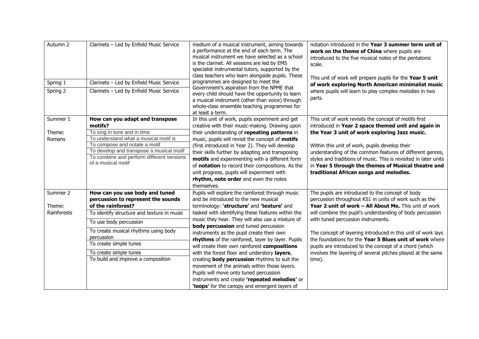| Autumn 2<br>Spring 1 | Clarinets - Led by Enfield Music Service<br>Clarinets - Led by Enfield Music Service | medium of a musical instrument, aiming towards<br>a performance at the end of each term. The<br>musical instrument we have selected as a school<br>is the clarinet. All sessions are led by EMS<br>specialist instrumental tutors, supported by the<br>class teachers who learn alongside pupils. These<br>programmes are designed to meet the<br>Government's aspiration from the NPME that | notation introduced in the Year 3 summer term unit of<br>work on the theme of China where pupils are<br>introduced to the five musical notes of the pentatonic<br>scale.<br>This unit of work will prepare pupils for the Year 5 unit<br>of work exploring North American minimalist music |  |  |  |
|----------------------|--------------------------------------------------------------------------------------|----------------------------------------------------------------------------------------------------------------------------------------------------------------------------------------------------------------------------------------------------------------------------------------------------------------------------------------------------------------------------------------------|--------------------------------------------------------------------------------------------------------------------------------------------------------------------------------------------------------------------------------------------------------------------------------------------|--|--|--|
| Spring 2             | Clarinets - Led by Enfield Music Service                                             | every child should have the opportunity to learn<br>a musical instrument (other than voice) through<br>whole-class ensemble teaching programmes for<br>at least a term.                                                                                                                                                                                                                      | where pupils will learn to play complex melodies in two<br>parts.                                                                                                                                                                                                                          |  |  |  |
| Summer 1             | How can you adapt and transpose<br>motifs?                                           | In this unit of work, pupils experiment and get<br>creative with their music-making. Drawing upon                                                                                                                                                                                                                                                                                            | This unit of work revisits the concept of motifs first<br>introduced in Year 2 space themed unit and again in                                                                                                                                                                              |  |  |  |
| Theme:               | To sing in tune and in time                                                          | their understanding of repeating patterns in                                                                                                                                                                                                                                                                                                                                                 | the Year 3 unit of work exploring Jazz music.                                                                                                                                                                                                                                              |  |  |  |
| Romans               | To understand what a musical motif is                                                | music, pupils will revisit the concept of motifs                                                                                                                                                                                                                                                                                                                                             |                                                                                                                                                                                                                                                                                            |  |  |  |
|                      | To compose and notate a motif                                                        | (first introduced in Year 2). They will develop                                                                                                                                                                                                                                                                                                                                              | Within this unit of work, pupils develop their                                                                                                                                                                                                                                             |  |  |  |
|                      | To develop and transpose a musical motif                                             | their skills further by adapting and transposing                                                                                                                                                                                                                                                                                                                                             | understanding of the common features of different genres,                                                                                                                                                                                                                                  |  |  |  |
|                      | To combine and perform different versions<br>of a musical motif                      | motifs and experimenting with a different form<br>of notation to record their compositions. As the<br>unit progress, pupils will experiment with<br>rhythm, note order and even the notes<br>themselves.                                                                                                                                                                                     | styles and traditions of music. This is revisited in later units<br>in Year 5 through the themes of Musical theatre and<br>traditional African songs and melodies.                                                                                                                         |  |  |  |
| Summer 2             | How can you use body and tuned                                                       | Pupils will explore the rainforest through music                                                                                                                                                                                                                                                                                                                                             | The pupils are introduced to the concept of body                                                                                                                                                                                                                                           |  |  |  |
|                      | percussion to represent the sounds                                                   | and be introduced to the new musical                                                                                                                                                                                                                                                                                                                                                         | percussion throughout KS1 in units of work such as the                                                                                                                                                                                                                                     |  |  |  |
| Theme:               | of the rainforest?                                                                   | terminology: 'structure' and 'texture' and                                                                                                                                                                                                                                                                                                                                                   | Year 2 unit of work - All About Me. This unit of work                                                                                                                                                                                                                                      |  |  |  |
| Rainforests          | To identify structure and texture in music                                           | tasked with identifying these features within the                                                                                                                                                                                                                                                                                                                                            | will combine the pupil's understanding of body percussion                                                                                                                                                                                                                                  |  |  |  |
|                      | To use body percussion                                                               | music they hear. They will also use a mixture of<br>body percussion and tuned percussion                                                                                                                                                                                                                                                                                                     | with tuned percussion instruments.                                                                                                                                                                                                                                                         |  |  |  |
|                      | To create musical rhythms using body<br>percussion                                   | instruments as the pupil create their own                                                                                                                                                                                                                                                                                                                                                    | The concept of layering introduced in this unit of work lays                                                                                                                                                                                                                               |  |  |  |
|                      | To create simple tunes                                                               | rhythms of the rainforest, layer by layer. Pupils<br>will create their own rainforest compositions                                                                                                                                                                                                                                                                                           | the foundations for the Year 5 Blues unit of work where<br>pupils are introduced to the concept of a chord (which                                                                                                                                                                          |  |  |  |
|                      | To create simple tunes                                                               | with the forest floor and understory layers,                                                                                                                                                                                                                                                                                                                                                 | involves the layering of several pitches played at the same                                                                                                                                                                                                                                |  |  |  |
|                      | To build and improve a composition                                                   | creating <b>body percussion</b> rhythms to suit the<br>movement of the animals within those layers.<br>Pupils will move onto tuned percussion<br>instruments and create 'repeated melodies' or<br>'loops' for the canopy and emergent layers of                                                                                                                                              | time).                                                                                                                                                                                                                                                                                     |  |  |  |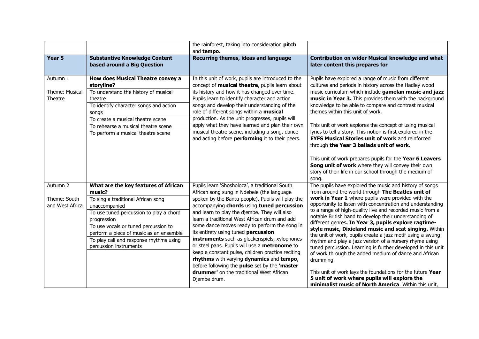|                                             |                                                                                                                                                                                                                                                                                                                         | the rainforest, taking into consideration pitch<br>and tempo.                                                                                                                                                                                                                                                                                                                                                                                                                                                                                                                                                                                                                                            |                                                                                                                                                                                                                                                                                                                                                                                                                                                                                                                                                                                                                                                                                                                                                                                                                                                                                                               |
|---------------------------------------------|-------------------------------------------------------------------------------------------------------------------------------------------------------------------------------------------------------------------------------------------------------------------------------------------------------------------------|----------------------------------------------------------------------------------------------------------------------------------------------------------------------------------------------------------------------------------------------------------------------------------------------------------------------------------------------------------------------------------------------------------------------------------------------------------------------------------------------------------------------------------------------------------------------------------------------------------------------------------------------------------------------------------------------------------|---------------------------------------------------------------------------------------------------------------------------------------------------------------------------------------------------------------------------------------------------------------------------------------------------------------------------------------------------------------------------------------------------------------------------------------------------------------------------------------------------------------------------------------------------------------------------------------------------------------------------------------------------------------------------------------------------------------------------------------------------------------------------------------------------------------------------------------------------------------------------------------------------------------|
| Year <sub>5</sub>                           | <b>Substantive Knowledge Content</b><br>based around a Big Question                                                                                                                                                                                                                                                     | Recurring themes, ideas and language                                                                                                                                                                                                                                                                                                                                                                                                                                                                                                                                                                                                                                                                     | Contribution on wider Musical knowledge and what<br>later content this prepares for                                                                                                                                                                                                                                                                                                                                                                                                                                                                                                                                                                                                                                                                                                                                                                                                                           |
| Autumn 1<br>Theme: Musical<br>Theatre       | How does Musical Theatre convey a<br>storyline?<br>To understand the history of musical<br>theatre<br>To identify character songs and action<br>songs<br>To create a musical theatre scene<br>To rehearse a musical theatre scene<br>To perform a musical theatre scene                                                 | In this unit of work, pupils are introduced to the<br>concept of musical theatre, pupils learn about<br>its history and how it has changed over time.<br>Pupils learn to identify character and action<br>songs and develop their understanding of the<br>role of different songs within a musical<br>production. As the unit progresses, pupils will<br>apply what they have learned and plan their own<br>musical theatre scene, including a song, dance<br>and acting before <b>performing</b> it to their peers.                                                                                                                                                                                     | Pupils have explored a range of music from different<br>cultures and periods in history across the Hadley wood<br>music curriculum which include gamelan music and jazz<br>music in Year 3. This provides them with the background<br>knowledge to be able to compare and contrast musical<br>themes within this unit of work.<br>This unit of work explores the concept of using musical<br>lyrics to tell a story. This notion is first explored in the<br><b>EYFS Musical Stories unit of work and reinforced</b><br>through the Year 3 ballads unit of work.<br>This unit of work prepares pupils for the Year 6 Leavers<br>Song unit of work where they will convey their own<br>story of their life in our school through the medium of<br>song.                                                                                                                                                        |
| Autumn 2<br>Theme: South<br>and West Africa | What are the key features of African<br>music?<br>To sing a traditional African song<br>unaccompanied<br>To use tuned percussion to play a chord<br>progression<br>To use vocals or tuned percussion to<br>perform a piece of music as an ensemble<br>To play call and response rhythms using<br>percussion instruments | Pupils learn 'Shosholoza', a traditional South<br>African song sung in Ndebele (the language<br>spoken by the Bantu people). Pupils will play the<br>accompanying chords using tuned percussion<br>and learn to play the djembe. They will also<br>learn a traditional West African drum and add<br>some dance moves ready to perform the song in<br>its entirety using tuned percussion<br>instruments such as glockenspiels, xylophones<br>or steel pans. Pupils will use a metronome to<br>keep a constant pulse, children practice reciting<br>rhythms with varying dynamics and tempo,<br>before following the pulse set by the 'master<br>drummer' on the traditional West African<br>Djembe drum. | The pupils have explored the music and history of songs<br>from around the world through The Beatles unit of<br>work in Year 1 where pupils were provided with the<br>opportunity to listen with concentration and understanding<br>to a range of high-quality live and recorded music from a<br>notable British band to develop their understanding of<br>different genres. In Year 3, pupils explore ragtime-<br>style music, Dixieland music and scat singing. Within<br>the unit of work, pupils create a jazz motif using a swung<br>rhythm and play a jazz version of a nursery rhyme using<br>tuned percussion. Learning is further developed in this unit<br>of work through the added medium of dance and African<br>drumming.<br>This unit of work lays the foundations for the future Year<br>5 unit of work where pupils will explore the<br>minimalist music of North America. Within this unit, |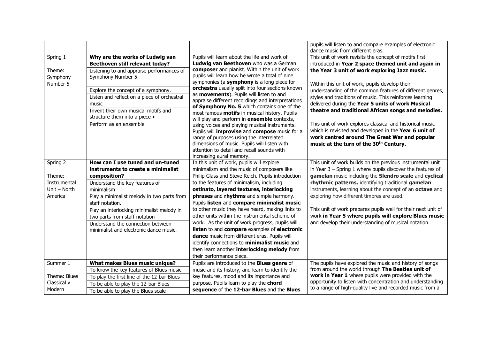|                                |                                                                                                                                                           |                                                                                                                                                                                                                                                                      | pupils will listen to and compare examples of electronic<br>dance music from different eras.                                                                                                                               |  |  |  |
|--------------------------------|-----------------------------------------------------------------------------------------------------------------------------------------------------------|----------------------------------------------------------------------------------------------------------------------------------------------------------------------------------------------------------------------------------------------------------------------|----------------------------------------------------------------------------------------------------------------------------------------------------------------------------------------------------------------------------|--|--|--|
| Spring 1                       | Why are the works of Ludwig van<br>Beethoven still relevant today?                                                                                        | Pupils will learn about the life and work of<br>Ludwig van Beethoven who was a German                                                                                                                                                                                | This unit of work revisits the concept of motifs first<br>introduced in Year 2 space themed unit and again in                                                                                                              |  |  |  |
| Theme:<br>Symphony<br>Number 5 | Listening to and appraise performances of<br>Symphony Number 5.                                                                                           | composer and pianist. Within the unit of work<br>pupils will learn how he wrote a total of nine<br>symphonies (a symphony is a long piece for                                                                                                                        | the Year 3 unit of work exploring Jazz music.<br>Within this unit of work, pupils develop their                                                                                                                            |  |  |  |
|                                | Explore the concept of a symphony.                                                                                                                        | orchestra usually split into four sections known                                                                                                                                                                                                                     | understanding of the common features of different genres,                                                                                                                                                                  |  |  |  |
|                                | Listen and reflect on a piece of orchestral<br>music                                                                                                      | as <b>movements</b> ). Pupils will listen to and<br>appraise different recordings and interpretations<br>of Symphony No. 5 which contains one of the                                                                                                                 | styles and traditions of music. This reinforces learning<br>delivered during the Year 5 units of work Musical                                                                                                              |  |  |  |
|                                | Invent their own musical motifs and<br>structure them into a piece .                                                                                      | most famous motifs in musical history. Pupils<br>will play and perform in ensemble contexts,                                                                                                                                                                         | theatre and traditional African songs and melodies.                                                                                                                                                                        |  |  |  |
|                                | Perform as an ensemble                                                                                                                                    | using voices and playing musical instruments.<br>Pupils will improvise and compose music for a<br>range of purposes using the interrelated<br>dimensions of music. Pupils will listen with<br>attention to detail and recall sounds with<br>increasing aural memory. | This unit of work explores classical and historical music<br>which is revisited and developed in the Year 6 unit of<br>work centred around The Great War and popular<br>music at the turn of the 30 <sup>th</sup> Century. |  |  |  |
| Spring 2                       | How can I use tuned and un-tuned<br>instruments to create a minimalist                                                                                    | In this unit of work, pupils will explore<br>minimalism and the music of composers like                                                                                                                                                                              | This unit of work builds on the previous instrumental unit<br>in Year $3$ – Spring 1 where pupils discover the features of                                                                                                 |  |  |  |
| Theme:                         | composition?                                                                                                                                              | Philip Glass and Steve Reich. Pupils introduction                                                                                                                                                                                                                    | gamelan music including the Slendro scale and cyclical                                                                                                                                                                     |  |  |  |
| Instrumental                   | Understand the key features of                                                                                                                            | to the features of minimalism, including                                                                                                                                                                                                                             | rhythmic patterns, identifying traditional gamelan                                                                                                                                                                         |  |  |  |
| Unit - North<br>America        | minimalism                                                                                                                                                | ostinato, layered textures, interlocking<br>phrases and rhythms and simple harmony.                                                                                                                                                                                  | instruments, learning about the concept of an octave and<br>exploring how different timbres are used.                                                                                                                      |  |  |  |
|                                | Play a minimalist melody in two parts from<br>staff notation.                                                                                             | Pupils listen and compare minimalist music                                                                                                                                                                                                                           |                                                                                                                                                                                                                            |  |  |  |
|                                | Play an interlocking minimalist melody in<br>two parts from staff notation<br>Understand the connection between<br>minimalist and electronic dance music. | to other music they have heard, making links to<br>other units within the instrumental scheme of<br>work. As the unit of work progress, pupils will<br>listen to and compare examples of electronic                                                                  | This unit of work prepares pupils well for their next unit of<br>work in Year 5 where pupils will explore Blues music<br>and develop their understanding of musical notation.                                              |  |  |  |
|                                |                                                                                                                                                           | dance music from different eras. Pupils will<br>identify connections to minimalist music and<br>then learn another interlocking melody from<br>their performance piece.                                                                                              |                                                                                                                                                                                                                            |  |  |  |
| Summer 1                       | What makes Blues music unique?                                                                                                                            | Pupils are introduced to the <b>Blues genre</b> of                                                                                                                                                                                                                   | The pupils have explored the music and history of songs                                                                                                                                                                    |  |  |  |
|                                | To know the key features of Blues music                                                                                                                   | music and its history, and learn to identify the                                                                                                                                                                                                                     | from around the world through The Beatles unit of                                                                                                                                                                          |  |  |  |
| Theme: Blues                   | To play the first line of the 12-bar Blues                                                                                                                | key features, mood and its importance and                                                                                                                                                                                                                            | work in Year 1 where pupils were provided with the<br>opportunity to listen with concentration and understanding                                                                                                           |  |  |  |
| Classical v                    | To be able to play the 12-bar Blues                                                                                                                       | purpose. Pupils learn to play the chord                                                                                                                                                                                                                              |                                                                                                                                                                                                                            |  |  |  |
| Modern                         | To be able to play the Blues scale                                                                                                                        | sequence of the 12-bar Blues and the Blues                                                                                                                                                                                                                           | to a range of high-quality live and recorded music from a                                                                                                                                                                  |  |  |  |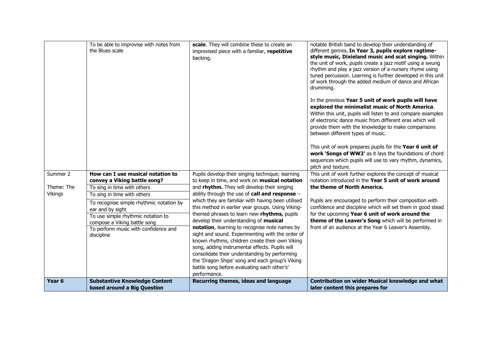|            | To be able to improvise with notes from<br>the Blues scale                                                                                                                               | scale. They will combine these to create an<br>improvised piece with a familiar, repetitive<br>backing.                                                                                                                                                                                                                                                                                                                                                                                                                                                                      | notable British band to develop their understanding of<br>different genres. In Year 3, pupils explore ragtime-<br>style music, Dixieland music and scat singing. Within<br>the unit of work, pupils create a jazz motif using a swung<br>rhythm and play a jazz version of a nursery rhyme using<br>tuned percussion. Learning is further developed in this unit<br>of work through the added medium of dance and African<br>drumming.<br>In the previous Year 5 unit of work pupils will have<br>explored the minimalist music of North America.<br>Within this unit, pupils will listen to and compare examples<br>of electronic dance music from different eras which will<br>provide them with the knowledge to make comparisons<br>between different types of music. |
|------------|------------------------------------------------------------------------------------------------------------------------------------------------------------------------------------------|------------------------------------------------------------------------------------------------------------------------------------------------------------------------------------------------------------------------------------------------------------------------------------------------------------------------------------------------------------------------------------------------------------------------------------------------------------------------------------------------------------------------------------------------------------------------------|---------------------------------------------------------------------------------------------------------------------------------------------------------------------------------------------------------------------------------------------------------------------------------------------------------------------------------------------------------------------------------------------------------------------------------------------------------------------------------------------------------------------------------------------------------------------------------------------------------------------------------------------------------------------------------------------------------------------------------------------------------------------------|
|            |                                                                                                                                                                                          |                                                                                                                                                                                                                                                                                                                                                                                                                                                                                                                                                                              | This unit of work prepares pupils for the Year 6 unit of<br>work 'Songs of WW2' as it lays the foundations of chord<br>sequences which pupils will use to vary rhythm, dynamics,<br>pitch and texture.                                                                                                                                                                                                                                                                                                                                                                                                                                                                                                                                                                    |
| Summer 2   | How can I use musical notation to                                                                                                                                                        | Pupils develop their singing technique; learning                                                                                                                                                                                                                                                                                                                                                                                                                                                                                                                             | This unit of work further explores the concept of musical<br>notation introduced in the Year 5 unit of work around                                                                                                                                                                                                                                                                                                                                                                                                                                                                                                                                                                                                                                                        |
| Theme: The | convey a Viking battle song?<br>To sing in time with others                                                                                                                              | to keep in time, and work on <b>musical notation</b><br>and rhythm. They will develop their singing                                                                                                                                                                                                                                                                                                                                                                                                                                                                          | the theme of North America.                                                                                                                                                                                                                                                                                                                                                                                                                                                                                                                                                                                                                                                                                                                                               |
| Vikings    | To sing in time with others                                                                                                                                                              | ability through the use of call and response -                                                                                                                                                                                                                                                                                                                                                                                                                                                                                                                               |                                                                                                                                                                                                                                                                                                                                                                                                                                                                                                                                                                                                                                                                                                                                                                           |
|            | To recognise simple rhythmic notation by<br>ear and by sight<br>To use simple rhythmic notation to<br>compose a Viking battle song<br>To perform music with confidence and<br>discipline | which they are familiar with having been utilised<br>this method in earlier year groups. Using Viking-<br>themed phrases to learn new rhythms, pupils<br>develop their understanding of musical<br>notation, learning to recognise note names by<br>sight and sound. Experimenting with the order of<br>known rhythms, children create their own Viking<br>song, adding instrumental effects. Pupils will<br>consolidate their understanding by performing<br>the 'Dragon Ships' song and each group's Viking<br>battle song before evaluating each other's'<br>performance. | Pupils are encouraged to perform their composition with<br>confidence and discipline which will set them in good stead<br>for the upcoming Year 6 unit of work around the<br>theme of the Leaver's Song which will be performed in<br>front of an audience at the Year 6 Leaver's Assembly.                                                                                                                                                                                                                                                                                                                                                                                                                                                                               |
| Year 6     | <b>Substantive Knowledge Content</b>                                                                                                                                                     | Recurring themes, ideas and language                                                                                                                                                                                                                                                                                                                                                                                                                                                                                                                                         | Contribution on wider Musical knowledge and what                                                                                                                                                                                                                                                                                                                                                                                                                                                                                                                                                                                                                                                                                                                          |
|            | based around a Big Question                                                                                                                                                              |                                                                                                                                                                                                                                                                                                                                                                                                                                                                                                                                                                              | later content this prepares for                                                                                                                                                                                                                                                                                                                                                                                                                                                                                                                                                                                                                                                                                                                                           |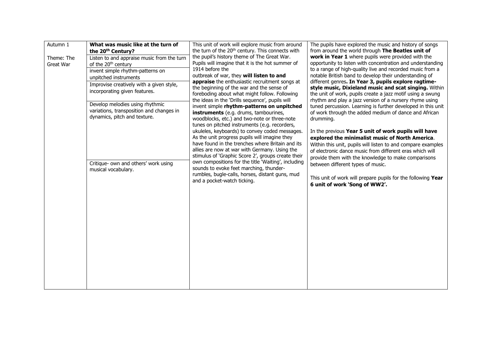| Autumn 1   | What was music like at the turn of                          | This unit of work will explore music from around                                                          | The pupils have explored the music and history of songs                                                               |  |  |  |  |  |  |
|------------|-------------------------------------------------------------|-----------------------------------------------------------------------------------------------------------|-----------------------------------------------------------------------------------------------------------------------|--|--|--|--|--|--|
|            | the 20 <sup>th</sup> Century?                               | the turn of the 20 <sup>th</sup> century. This connects with                                              | from around the world through The Beatles unit of                                                                     |  |  |  |  |  |  |
| Theme: The | Listen to and appraise music from the turn                  | the pupil's history theme of The Great War.<br>Pupils will imagine that it is the hot summer of           | work in Year 1 where pupils were provided with the<br>opportunity to listen with concentration and understanding      |  |  |  |  |  |  |
| Great War  | of the 20 <sup>th</sup> century                             | 1914 before the                                                                                           | to a range of high-quality live and recorded music from a                                                             |  |  |  |  |  |  |
|            | invent simple rhythm-patterns on<br>unpitched instruments   | outbreak of war, they will listen to and                                                                  | notable British band to develop their understanding of                                                                |  |  |  |  |  |  |
|            | Improvise creatively with a given style,                    | appraise the enthusiastic recruitment songs at                                                            | different genres. In Year 3, pupils explore ragtime-                                                                  |  |  |  |  |  |  |
|            | incorporating given features.                               | the beginning of the war and the sense of                                                                 | style music, Dixieland music and scat singing. Within                                                                 |  |  |  |  |  |  |
|            |                                                             | foreboding about what might follow. Following<br>the ideas in the 'Drills sequence', pupils will          | the unit of work, pupils create a jazz motif using a swung<br>rhythm and play a jazz version of a nursery rhyme using |  |  |  |  |  |  |
|            | Develop melodies using rhythmic                             | invent simple rhythm-patterns on unpitched                                                                | tuned percussion. Learning is further developed in this unit                                                          |  |  |  |  |  |  |
|            | variations, transposition and changes in                    | instruments (e.g. drums, tambourines,                                                                     | of work through the added medium of dance and African                                                                 |  |  |  |  |  |  |
|            | dynamics, pitch and texture.                                | woodblocks, etc.) and two-note or three-note                                                              | drumming.                                                                                                             |  |  |  |  |  |  |
|            |                                                             | tunes on pitched instruments (e.g. recorders,<br>ukuleles, keyboards) to convey coded messages.           | In the previous Year 5 unit of work pupils will have                                                                  |  |  |  |  |  |  |
|            |                                                             | As the unit progress pupils will imagine they                                                             | explored the minimalist music of North America.                                                                       |  |  |  |  |  |  |
|            |                                                             | have found in the trenches where Britain and its                                                          | Within this unit, pupils will listen to and compare examples                                                          |  |  |  |  |  |  |
|            |                                                             | allies are now at war with Germany. Using the                                                             | of electronic dance music from different eras which will                                                              |  |  |  |  |  |  |
|            |                                                             | stimulus of 'Graphic Score 2', groups create their<br>own compositions for the title 'Waiting', including | provide them with the knowledge to make comparisons                                                                   |  |  |  |  |  |  |
|            | Critique- own and others' work using<br>musical vocabulary. | sounds to evoke feet marching, thunder-                                                                   | between different types of music.                                                                                     |  |  |  |  |  |  |
|            |                                                             | rumbles, bugle-calls, horses, distant guns, mud                                                           | This unit of work will prepare pupils for the following Year                                                          |  |  |  |  |  |  |
|            |                                                             | and a pocket-watch ticking.                                                                               | 6 unit of work 'Song of WW2'.                                                                                         |  |  |  |  |  |  |
|            |                                                             |                                                                                                           |                                                                                                                       |  |  |  |  |  |  |
|            |                                                             |                                                                                                           |                                                                                                                       |  |  |  |  |  |  |
|            |                                                             |                                                                                                           |                                                                                                                       |  |  |  |  |  |  |
|            |                                                             |                                                                                                           |                                                                                                                       |  |  |  |  |  |  |
|            |                                                             |                                                                                                           |                                                                                                                       |  |  |  |  |  |  |
|            |                                                             |                                                                                                           |                                                                                                                       |  |  |  |  |  |  |
|            |                                                             |                                                                                                           |                                                                                                                       |  |  |  |  |  |  |
|            |                                                             |                                                                                                           |                                                                                                                       |  |  |  |  |  |  |
|            |                                                             |                                                                                                           |                                                                                                                       |  |  |  |  |  |  |
|            |                                                             |                                                                                                           |                                                                                                                       |  |  |  |  |  |  |
|            |                                                             |                                                                                                           |                                                                                                                       |  |  |  |  |  |  |
|            |                                                             |                                                                                                           |                                                                                                                       |  |  |  |  |  |  |
|            |                                                             |                                                                                                           |                                                                                                                       |  |  |  |  |  |  |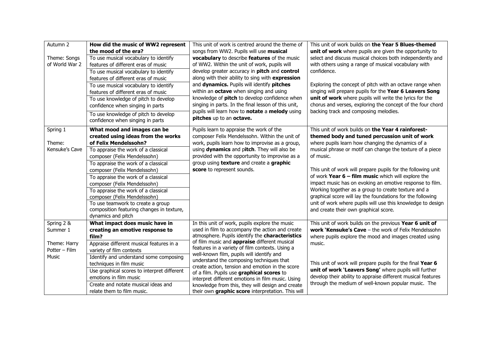| Autumn 2       | How did the music of WW2 represent                              | This unit of work is centred around the theme of                                             | This unit of work builds on the Year 5 Blues-themed                                                                                                                              |  |  |  |  |
|----------------|-----------------------------------------------------------------|----------------------------------------------------------------------------------------------|----------------------------------------------------------------------------------------------------------------------------------------------------------------------------------|--|--|--|--|
|                | the mood of the era?                                            | songs from WW2. Pupils will use musical                                                      | unit of work where pupils are given the opportunity to<br>select and discuss musical choices both independently and                                                              |  |  |  |  |
| Theme: Songs   | To use musical vocabulary to identify                           | vocabulary to describe features of the music                                                 |                                                                                                                                                                                  |  |  |  |  |
| of World War 2 | features of different eras of music                             | of WW2. Within the unit of work, pupils will                                                 | with others using a range of musical vocabulary with                                                                                                                             |  |  |  |  |
|                | To use musical vocabulary to identify                           | develop greater accuracy in pitch and control                                                | confidence.                                                                                                                                                                      |  |  |  |  |
|                | features of different eras of music                             | along with their ability to sing with expression                                             |                                                                                                                                                                                  |  |  |  |  |
|                | To use musical vocabulary to identify                           | and dynamics. Pupils will identify pitches                                                   | Exploring the concept of pitch with an octave range when                                                                                                                         |  |  |  |  |
|                | features of different eras of music                             | within an octave when singing and using                                                      | singing will prepare pupils for the Year 6 Leavers Song                                                                                                                          |  |  |  |  |
|                | To use knowledge of pitch to develop                            | knowledge of pitch to develop confidence when                                                | unit of work where pupils will write the lyrics for the                                                                                                                          |  |  |  |  |
|                | confidence when singing in parts                                | singing in parts. In the final lesson of this unit,                                          | chorus and verses, exploring the concept of the four chord                                                                                                                       |  |  |  |  |
|                | To use knowledge of pitch to develop                            | pupils will learn how to notate a melody using                                               | backing track and composing melodies.                                                                                                                                            |  |  |  |  |
|                | confidence when singing in parts                                | pitches up to an octave.                                                                     |                                                                                                                                                                                  |  |  |  |  |
| Spring 1       | What mood and images can be                                     | Pupils learn to appraise the work of the                                                     | This unit of work builds on the Year 4 rainforest-                                                                                                                               |  |  |  |  |
|                | created using ideas from the works                              | composer Felix Mendelssohn. Within the unit of                                               | themed body and tuned percussion unit of work                                                                                                                                    |  |  |  |  |
| Theme:         | of Felix Mendelssohn?                                           | work, pupils learn how to improvise as a group,                                              | where pupils learn how changing the dynamics of a                                                                                                                                |  |  |  |  |
| Kensuke's Cave | To appraise the work of a classical                             | using dynamics and pitch. They will also be                                                  | musical phrase or motif can change the texture of a piece                                                                                                                        |  |  |  |  |
|                | composer (Felix Mendelssohn)                                    | provided with the opportunity to improvise as a                                              | of music.                                                                                                                                                                        |  |  |  |  |
|                | To appraise the work of a classical                             | group using <b>texture</b> and create a graphic                                              |                                                                                                                                                                                  |  |  |  |  |
|                | composer (Felix Mendelssohn)                                    | score to represent sounds.                                                                   | This unit of work will prepare pupils for the following unit<br>of work Year $6 - film$ music which will explore the<br>impact music has on evoking an emotive response to film. |  |  |  |  |
|                | To appraise the work of a classical                             |                                                                                              |                                                                                                                                                                                  |  |  |  |  |
|                | composer (Felix Mendelssohn)                                    |                                                                                              |                                                                                                                                                                                  |  |  |  |  |
|                | To appraise the work of a classical                             |                                                                                              | Working together as a group to create texture and a                                                                                                                              |  |  |  |  |
|                | composer (Felix Mendelssohn)                                    |                                                                                              | graphical score will lay the foundations for the following                                                                                                                       |  |  |  |  |
|                | To use teamwork to create a group                               |                                                                                              | unit of work where pupils will use this knowledge to design                                                                                                                      |  |  |  |  |
|                | composition featuring changes in texture,<br>dynamics and pitch |                                                                                              | and create their own graphical score.                                                                                                                                            |  |  |  |  |
| Spring 2 &     | What impact does music have in                                  | In this unit of work, pupils explore the music                                               | This unit of work builds on the previous Year 6 unit of                                                                                                                          |  |  |  |  |
| Summer 1       | creating an emotive response to                                 | used in film to accompany the action and create                                              | <b>work 'Kensuke's Cave</b> $-$ the work of Felix Mendelssohn                                                                                                                    |  |  |  |  |
|                | film?                                                           | atmosphere. Pupils identify the characteristics                                              | where pupils explore the mood and images created using                                                                                                                           |  |  |  |  |
| Theme: Harry   | Appraise different musical features in a                        | of film music and appraise different musical                                                 | music.                                                                                                                                                                           |  |  |  |  |
| Potter - Film  | variety of film contexts                                        | features in a variety of film contexts. Using a                                              |                                                                                                                                                                                  |  |  |  |  |
| Music          | Identify and understand some composing                          | well-known film, pupils will identify and                                                    |                                                                                                                                                                                  |  |  |  |  |
|                | techniques in film music                                        | understand the composing techniques that                                                     | This unit of work will prepare pupils for the final Year 6                                                                                                                       |  |  |  |  |
|                | Use graphical scores to interpret different                     | create action, tension and emotion in the score<br>of a film. Pupils use graphical scores to | unit of work 'Leavers Song' where pupils will further                                                                                                                            |  |  |  |  |
|                | emotions in film music                                          | interpret different emotions in film music. Using                                            | develop their ability to appraise different musical features                                                                                                                     |  |  |  |  |
|                | Create and notate musical ideas and                             | knowledge from this, they will design and create                                             | through the medium of well-known popular music. The                                                                                                                              |  |  |  |  |
|                | relate them to film music.                                      | their own graphic score interpretation. This will                                            |                                                                                                                                                                                  |  |  |  |  |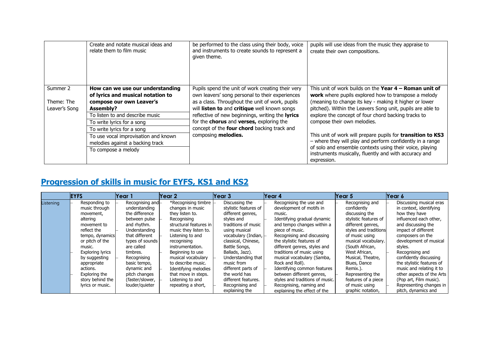|               | Create and notate musical ideas and<br>relate them to film music      | be performed to the class using their body, voice<br>and instruments to create sounds to represent a<br>given theme. | pupils will use ideas from the music they appraise to<br>create their own compositions.                                                                                                                                                                      |  |  |  |
|---------------|-----------------------------------------------------------------------|----------------------------------------------------------------------------------------------------------------------|--------------------------------------------------------------------------------------------------------------------------------------------------------------------------------------------------------------------------------------------------------------|--|--|--|
| Summer 2      | How can we use our understanding<br>of lyrics and musical notation to | Pupils spend the unit of work creating their very<br>own leavers' song personal to their experiences                 | This unit of work builds on the <b>Year 4 – Roman unit of</b><br>work where pupils explored how to transpose a melody                                                                                                                                        |  |  |  |
| Theme: The    | compose our own Leaver's                                              | as a class. Throughout the unit of work, pupils                                                                      | (meaning to change its key - making it higher or lower<br>pitched). Within the Leavers Song unit, pupils are able to                                                                                                                                         |  |  |  |
| Leaver's Song | <b>Assembly?</b>                                                      | will listen to and critique well known songs                                                                         |                                                                                                                                                                                                                                                              |  |  |  |
|               | To listen to and describe music                                       | reflective of new beginnings, writing the lyrics                                                                     | explore the concept of four chord backing tracks to                                                                                                                                                                                                          |  |  |  |
|               | To write lyrics for a song                                            | for the chorus and verses, exploring the                                                                             | compose their own melodies.                                                                                                                                                                                                                                  |  |  |  |
|               | To write lyrics for a song                                            | concept of the four chord backing track and                                                                          |                                                                                                                                                                                                                                                              |  |  |  |
|               | To use vocal improvisation and known                                  | composing melodies.                                                                                                  | This unit of work will prepare pupils for transition to KS3<br>- where they will play and perform confidently in a range<br>of solo and ensemble contexts using their voice, playing<br>instruments musically, fluently and with accuracy and<br>expression. |  |  |  |
|               | melodies against a backing track                                      |                                                                                                                      |                                                                                                                                                                                                                                                              |  |  |  |
|               | To compose a melody                                                   |                                                                                                                      |                                                                                                                                                                                                                                                              |  |  |  |

## **Progression of skills in music for EYFS, KS1 and KS2**

|           | <b>EYFS</b> |                                | Year 1                            | lYear 21                                | Year 3                                  | Year 4                                              | Year 5 |                                | Year 6                                             |
|-----------|-------------|--------------------------------|-----------------------------------|-----------------------------------------|-----------------------------------------|-----------------------------------------------------|--------|--------------------------------|----------------------------------------------------|
| Listening |             | Responding to<br>music through | Recognising and-<br>understanding | *Recognising timbre<br>changes in music | Discussing the<br>stylistic features of | Recognising the use and<br>development of motifs in |        | Recognising and<br>confidently | Discussing musical eras<br>in context, identifying |
|           |             | movement,                      | the difference                    | they listen to.                         | different genres,                       | music.                                              |        | discussing the                 | how they have                                      |
|           |             | altering                       | between pulse                     | Recognising                             | styles and                              | Identifying gradual dynamic                         |        | stylistic features of          | influenced each other.                             |
|           |             | movement to                    | and rhythm.                       | structural features in                  | traditions of music                     | and tempo changes within a                          |        | different genres,              | and discussing the                                 |
|           |             | reflect the                    | <b>Understanding</b>              | music they listen to.                   | using musical                           | piece of music.                                     |        | styles and traditions          | impact of different                                |
|           |             | tempo, dynamics                | that different                    | Listening to and                        | vocabulary (Indian, -                   | Recognising and discussing                          |        | of music using                 | composers on the                                   |
|           |             | or pitch of the                | types of sounds                   | recognising                             | classical, Chinese,                     | the stylistic features of                           |        | musical vocabulary.            | development of musical                             |
|           |             | music.                         | are called                        | instrumentation.                        | Battle Songs,                           | different genres, styles and                        |        | (South African,                | styles.                                            |
|           |             | <b>Exploring lyrics</b>        | timbres.                          | Beginning to use                        | Ballads, Jazz).                         | traditions of music using                           |        | West African,                  | Recognising and                                    |
|           |             | by suggesting                  | Recognising                       | musical vocabulary                      | Understanding that                      | musical vocabulary (Samba,                          |        | Musical, Theatre,              | confidently discussing                             |
|           |             | appropriate                    | basic tempo,                      | to describe music.                      | music from                              | Rock and Roll).                                     |        | Blues, Dance                   | the stylistic features of                          |
|           |             | actions.                       | dynamic and                       | Identifying melodies                    | different parts of                      | Identifying common features                         |        | Remix.).                       | music and relating it to                           |
|           |             | Exploring the                  | pitch changes                     | that move in steps.                     | the world has                           | between different genres,                           |        | Representing the               | other aspects of the Arts                          |
|           |             | story behind the               | (faster/slower,                   | Listening to and                        | different features.                     | styles and traditions of music.                     |        | features of a piece            | (Pop art, Film music).                             |
|           |             | lyrics or music.               | louder/guieter                    | repeating a short,                      | Recognising and                         | Recognising, naming and                             |        | of music using                 | Representing changes in                            |
|           |             |                                |                                   |                                         | explaining the                          | explaining the effect of the                        |        | graphic notation,              | pitch, dynamics and                                |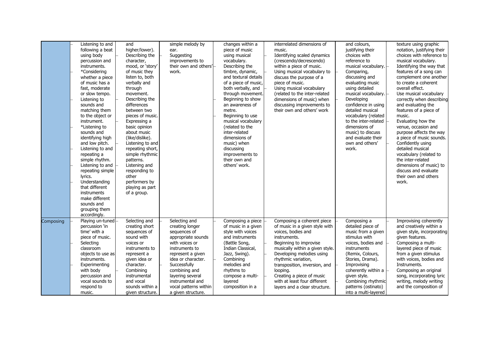|           | Listening to and<br>following a beat<br>using body<br>percussion and<br>instruments.<br>*Considering<br>whether a piece<br>of music has a<br>fast, moderate<br>or slow tempo.<br>Listening to<br>sounds and<br>matching them<br>to the object or<br>instrument.<br>*Listening to<br>sounds and<br>identifying high<br>and low pitch.<br>Listening to and<br>repeating a<br>simple rhythm.<br>Listening to and | and<br>higher/lower).<br>Describing the<br>character,<br>mood, or 'story'<br>of music they<br>listen to, both<br>verbally and<br>through<br>movement.<br>Describing the<br>differences<br>between two<br>pieces of music.<br>Expressing a<br>basic opinion<br>about music<br>(like/dislike).<br>Listening to and<br>repeating short,<br>simple rhythmic<br>patterns.<br>Listening and | simple melody by<br>ear.<br>Suggesting<br>improvements to<br>their own and others'<br>work.                                                                           | changes within a<br>piece of music<br>using musical<br>vocabulary.<br>Describing the<br>timbre, dynamic,<br>and textural details<br>of a piece of music,<br>both verbally, and<br>through movement.<br>Beginning to show<br>an awareness of<br>metre.<br>Beginning to use<br>musical vocabulary<br>(related to the<br>inter-related<br>dimensions of<br>music) when<br>discussing<br>improvements to<br>their own and<br>others' work. | interrelated dimensions of<br>music.<br>Identifying scaled dynamics<br>(crescendo/decrescendo)<br>within a piece of music.<br>Using musical vocabulary to<br>discuss the purpose of a<br>piece of music.<br>Using musical vocabulary<br>(related to the inter-related<br>dimensions of music) when<br>discussing improvements to<br>their own and others' work | and colours,<br>justifying their<br>choices with<br>reference to<br>musical vocabulary. -<br>Comparing,<br>discussing and<br>evaluating music<br>using detailed<br>musical vocabulary.  -<br>Developing<br>confidence in using<br>detailed musical<br>vocabulary (related<br>to the inter-related<br>dimensions of<br>music) to discuss<br>and evaluate their<br>own and others'<br>work. | texture using graphic<br>notation, justifying their<br>choices with reference to<br>musical vocabulary.<br>Identifying the way that<br>features of a song can<br>complement one another<br>to create a coherent<br>overall effect.<br>Use musical vocabulary<br>correctly when describing<br>and evaluating the<br>features of a piece of<br>music.<br>Evaluating how the<br>venue, occasion and<br>purpose affects the way<br>a piece of music sounds.<br>Confidently using<br>detailed musical<br>vocabulary (related to<br>the inter-related<br>dimensions of music) to |
|-----------|---------------------------------------------------------------------------------------------------------------------------------------------------------------------------------------------------------------------------------------------------------------------------------------------------------------------------------------------------------------------------------------------------------------|---------------------------------------------------------------------------------------------------------------------------------------------------------------------------------------------------------------------------------------------------------------------------------------------------------------------------------------------------------------------------------------|-----------------------------------------------------------------------------------------------------------------------------------------------------------------------|----------------------------------------------------------------------------------------------------------------------------------------------------------------------------------------------------------------------------------------------------------------------------------------------------------------------------------------------------------------------------------------------------------------------------------------|----------------------------------------------------------------------------------------------------------------------------------------------------------------------------------------------------------------------------------------------------------------------------------------------------------------------------------------------------------------|-------------------------------------------------------------------------------------------------------------------------------------------------------------------------------------------------------------------------------------------------------------------------------------------------------------------------------------------------------------------------------------------|----------------------------------------------------------------------------------------------------------------------------------------------------------------------------------------------------------------------------------------------------------------------------------------------------------------------------------------------------------------------------------------------------------------------------------------------------------------------------------------------------------------------------------------------------------------------------|
| Composing | repeating simple<br>lyrics.<br>Understanding<br>that different<br>instruments<br>make different<br>sounds and<br>grouping them<br>accordingly.<br>Playing un-tuned<br>percussion 'in<br>time' with a<br>piece of music.<br>Selecting<br>classroom<br>objects to use as<br>instruments.<br>Experimenting                                                                                                       | responding to<br>other<br>performers by<br>playing as part<br>of a group.<br>Selecting and<br>creating short<br>sequences of<br>sound with<br>voices or<br>instruments to<br>represent a<br>given idea or<br>character.                                                                                                                                                               | Selecting and<br>creating longer<br>sequences of<br>appropriate sounds<br>with voices or<br>instruments to<br>represent a given<br>idea or character.<br>Successfully | Composing a piece<br>of music in a given<br>style with voices<br>and instruments<br>(Battle Song,<br>Indian Classical,<br>Jazz, Swing).<br>Combining<br>melodies and                                                                                                                                                                                                                                                                   | Composing a coherent piece<br>of music in a given style with<br>voices, bodies and<br>instruments.<br>Beginning to improvise<br>musically within a given style.<br>Developing melodies using<br>rhythmic variation,<br>transposition, inversion, and                                                                                                           | Composing a<br>detailed piece of<br>music from a given<br>stimulus with<br>voices, bodies and<br>instruments<br>(Remix, Colours,<br>Stories, Drama).<br>Improvising                                                                                                                                                                                                                       | discuss and evaluate<br>their own and others<br>work.<br>Improvising coherently<br>and creatively within a<br>given style, incorporating<br>given features.<br>Composing a multi-<br>layered piece of music<br>from a given stimulus<br>with voices, bodies and<br>Instruments.                                                                                                                                                                                                                                                                                            |
|           | with body<br>percussion and<br>vocal sounds to<br>respond to<br>music.                                                                                                                                                                                                                                                                                                                                        | Combining<br>instrumental<br>and vocal<br>sounds within a<br>given structure.                                                                                                                                                                                                                                                                                                         | combining and<br>layering several<br>instrumental and<br>vocal patterns within<br>a given structure.                                                                  | rhythms to<br>compose a multi-<br>layered<br>composition in a                                                                                                                                                                                                                                                                                                                                                                          | looping.<br>Creating a piece of music<br>with at least four different<br>layers and a clear structure.                                                                                                                                                                                                                                                         | coherently within a<br>given style.<br>Combining rhythmic<br>patterns (ostinato)<br>into a multi-layered                                                                                                                                                                                                                                                                                  | Composing an original<br>song, incorporating lyric<br>writing, melody writing<br>and the composition of                                                                                                                                                                                                                                                                                                                                                                                                                                                                    |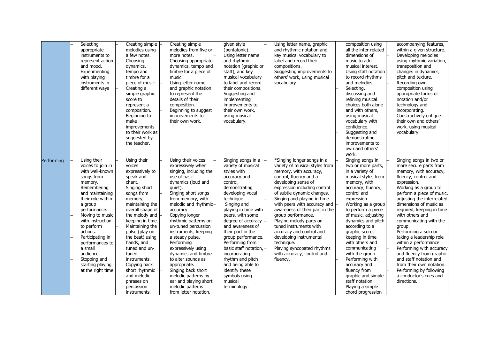|            | Selecting<br>appropriate<br>instruments to<br>represent action<br>and mood.<br>Experimenting<br>with playing<br>instruments in<br>different ways                                                                                                                                                                                                        | Creating simple<br>melodies using<br>a few notes.<br>Choosing<br>dynamics,<br>tempo and<br>timbre for a<br>piece of music.<br>Creating a<br>simple graphic<br>score to<br>represent a<br>composition.<br>Beginning to<br>make<br>improvements<br>to their work as<br>suggested by<br>the teacher.                                                                                                   | Creating simple<br>melodies from five or<br>more notes.<br>Choosing appropriate<br>dynamics, tempo and<br>timbre for a piece of<br>music.<br>Using letter name<br>and graphic notation<br>to represent the<br>details of their<br>composition.<br>Beginning to suggest<br>improvements to<br>their own work.                                                                                                                                                                                                                         | given style<br>(pentatonic).<br>Using letter name<br>and rhythmic<br>notation (graphic or<br>staff), and key<br>musical vocabulary<br>to label and record<br>their compositions.<br>Suggesting and<br>implementing<br>improvements to<br>their own work,<br>using musical<br>vocabulary.                                                                                                                                                                   | Using letter name, graphic<br>and rhythmic notation and<br>key musical vocabulary to<br>label and record their<br>compositions.<br>Suggesting improvements to<br>others' work, using musical<br>vocabulary.                                                                                                                                                                                                                                                                                                                    | composition using<br>all the inter-related<br>dimensions of<br>music to add<br>musical interest.<br>Using staff notation<br>to record rhythms<br>and melodies.<br>Selecting,<br>discussing and<br>refining musical<br>choices both alone<br>and with others.<br>using musical<br>vocabulary with<br>confidence.<br>Suggesting and<br>demonstrating<br>improvements to<br>own and others'<br>work.                                                                                                | accompanying features,<br>within a given structure.<br>Developing melodies<br>using rhythmic variation,<br>transposition and<br>changes in dynamics,<br>pitch and texture.<br>Recording own<br>composition using<br>appropriate forms of<br>notation and/or<br>technology and<br>incorporating.<br>Constructively critique<br>their own and others'<br>work, using musical<br>vocabulary.                                                                                                                                                                                           |
|------------|---------------------------------------------------------------------------------------------------------------------------------------------------------------------------------------------------------------------------------------------------------------------------------------------------------------------------------------------------------|-----------------------------------------------------------------------------------------------------------------------------------------------------------------------------------------------------------------------------------------------------------------------------------------------------------------------------------------------------------------------------------------------------|--------------------------------------------------------------------------------------------------------------------------------------------------------------------------------------------------------------------------------------------------------------------------------------------------------------------------------------------------------------------------------------------------------------------------------------------------------------------------------------------------------------------------------------|------------------------------------------------------------------------------------------------------------------------------------------------------------------------------------------------------------------------------------------------------------------------------------------------------------------------------------------------------------------------------------------------------------------------------------------------------------|--------------------------------------------------------------------------------------------------------------------------------------------------------------------------------------------------------------------------------------------------------------------------------------------------------------------------------------------------------------------------------------------------------------------------------------------------------------------------------------------------------------------------------|--------------------------------------------------------------------------------------------------------------------------------------------------------------------------------------------------------------------------------------------------------------------------------------------------------------------------------------------------------------------------------------------------------------------------------------------------------------------------------------------------|-------------------------------------------------------------------------------------------------------------------------------------------------------------------------------------------------------------------------------------------------------------------------------------------------------------------------------------------------------------------------------------------------------------------------------------------------------------------------------------------------------------------------------------------------------------------------------------|
| Performing | Using their<br>voices to join in<br>with well-known<br>songs from<br>memory.<br>Remembering<br>and maintaining<br>their role within<br>a group<br>performance.<br>Moving to music<br>with instruction<br>to perform<br>actions.<br>Participating in<br>performances to<br>a small<br>audience.<br>Stopping and<br>starting playing<br>at the right time | Using their<br>voices<br>expressively to<br>speak and<br>chant.<br>Singing short<br>songs from<br>memory,<br>maintaining the<br>overall shape of<br>the melody and<br>keeping in time.<br>Maintaining the<br>pulse (play on<br>the beat) using<br>hands, and<br>tuned and un-<br>tuned<br>instruments.<br>Copying back<br>short rhythmic<br>and melodic<br>phrases on<br>percussion<br>instruments. | Using their voices<br>expressively when<br>singing, including the<br>use of basic<br>dynamics (loud and<br>quiet).<br>Singing short songs<br>from memory, with<br>melodic and rhythmic-<br>accuracy.<br>Copying longer<br>rhythmic patterns on<br>un-tuned percussion<br>instruments, keeping<br>a steady pulse.<br>Performing<br>expressively using<br>dynamics and timbre<br>to alter sounds as<br>appropriate.<br>Singing back short<br>melodic patterns by<br>ear and playing short<br>melodic patterns<br>from letter notation. | Singing songs in a<br>variety of musical<br>styles with<br>accuracy and<br>control,<br>demonstrating<br>developing vocal<br>technique.<br>Singing and<br>playing in time with<br>peers, with some<br>degree of accuracy<br>and awareness of<br>their part in the<br>group performance.<br>Performing from<br>basic staff notation,<br>incorporating<br>rhythm and pitch<br>and being able to<br>identify these<br>symbols using<br>musical<br>terminology. | *Singing longer songs in a<br>variety of musical styles from<br>memory, with accuracy,<br>control, fluency and a<br>developing sense of<br>expression including control<br>of subtle dynamic changes.<br>Singing and playing in time<br>with peers with accuracy and<br>awareness of their part in the<br>group performance.<br>Playing melody parts on<br>tuned instruments with<br>accuracy and control and<br>developing instrumental<br>technique.<br>Playing syncopated rhythms<br>with accuracy, control and<br>fluency. | Singing songs in<br>two or more parts,<br>in a variety of<br>musical styles from<br>memory, with<br>accuracy, fluency,<br>control and<br>expression.<br>Working as a group<br>to perform a piece<br>of music, adjusting<br>dynamics and pitch<br>according to a<br>graphic score,<br>keeping in time<br>with others and<br>communicating<br>with the group.<br>Performing with<br>accuracy and<br>fluency from<br>graphic and simple<br>staff notation.<br>Playing a simple<br>chord progression | Singing songs in two or<br>more secure parts from<br>memory, with accuracy,<br>fluency, control and<br>expression.<br>Working as a group to<br>perform a piece of music,<br>adjusting the interrelated<br>dimensions of music as<br>required, keeping in time<br>with others and<br>communicating with the<br>group.<br>Performing a solo or<br>taking a leadership role<br>within a performance.<br>Performing with accuracy<br>and fluency from graphic<br>and staff notation and<br>from their own notation.<br>Performing by following<br>a conductor's cues and<br>directions. |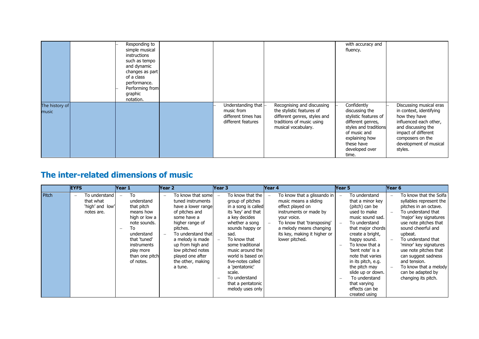|                         | Responding to<br>simple musical<br>instructions<br>such as tempo<br>and dynamic<br>changes as part<br>of a class<br>performance.<br>Performing from<br>graphic<br>notation. |                                                                                        |                                                                                                                                             | with accuracy and<br>fluency.                                                                                                                                                   |                                                                                                                                                                                                     |
|-------------------------|-----------------------------------------------------------------------------------------------------------------------------------------------------------------------------|----------------------------------------------------------------------------------------|---------------------------------------------------------------------------------------------------------------------------------------------|---------------------------------------------------------------------------------------------------------------------------------------------------------------------------------|-----------------------------------------------------------------------------------------------------------------------------------------------------------------------------------------------------|
| The history of<br>music |                                                                                                                                                                             | Understanding that $\vdash$<br>music from<br>different times has<br>different features | Recognising and discussing<br>the stylistic features of<br>different genres, styles and<br>traditions of music using<br>musical vocabulary. | Confidently<br>discussing the<br>stylistic features of<br>different genres,<br>styles and traditions<br>of music and<br>explaining how<br>these have<br>developed over<br>time. | Discussing musical eras<br>in context, identifying<br>how they have<br>influenced each other,<br>and discussing the<br>impact of different<br>composers on the<br>development of musical<br>styles. |

### **The inter-related dimensions of music**

|       | <b>EYFS</b>                                                               | Year 1                                                                                                                                                                      | Year <sub>2</sub>                                                                                                                                                                                                                                                             | Year 3                                                                                                                                                                                                                                                                                                                                                              | Year 4                                                                                                                                                                                                                       | Year 5                                                                                                                                                                                                                                                                                                                                                                  | Year 6                                                                                                                                                                                                                                                                                                                                                                                                                                |
|-------|---------------------------------------------------------------------------|-----------------------------------------------------------------------------------------------------------------------------------------------------------------------------|-------------------------------------------------------------------------------------------------------------------------------------------------------------------------------------------------------------------------------------------------------------------------------|---------------------------------------------------------------------------------------------------------------------------------------------------------------------------------------------------------------------------------------------------------------------------------------------------------------------------------------------------------------------|------------------------------------------------------------------------------------------------------------------------------------------------------------------------------------------------------------------------------|-------------------------------------------------------------------------------------------------------------------------------------------------------------------------------------------------------------------------------------------------------------------------------------------------------------------------------------------------------------------------|---------------------------------------------------------------------------------------------------------------------------------------------------------------------------------------------------------------------------------------------------------------------------------------------------------------------------------------------------------------------------------------------------------------------------------------|
| Pitch | To understand l<br>$\equiv$<br>that what<br>'high' and low'<br>notes are. | To<br>understand<br>that pitch<br>means how<br>high or low a<br>note sounds.<br>To<br>understand<br>that 'tuned'<br>instruments<br>play more<br>than one pitch<br>of notes. | To know that some<br>$\sim$<br>tuned instruments<br>have a lower range<br>of pitches and<br>some have a<br>higher range of<br>pitches.<br>To understand that<br>a melody is made<br>up from high and<br>low pitched notes<br>played one after<br>the other, making<br>a tune. | To know that the<br>group of pitches<br>in a song is called<br>its 'key' and that<br>a key decides<br>whether a song<br>sounds happy or<br>sad.<br>To know that<br>some traditional<br>music around the<br>world is based on<br>five-notes called<br>a 'pentatonic'<br>scale.<br>To understand<br>$\overline{\phantom{0}}$<br>that a pentatonic<br>melody uses only | To know that a glissando in<br>music means a sliding<br>effect played on<br>instruments or made by<br>your voice.<br>To know that 'transposing'<br>a melody means changing<br>its key, making it higher or<br>lower pitched. | To understand<br>$\equiv$<br>that a minor key<br>(pitch) can be<br>used to make<br>music sound sad.<br>To understand<br>that major chords<br>create a bright,<br>happy sound.<br>To know that a<br>'bent note' is a<br>note that varies<br>in its pitch, e.g.<br>the pitch may<br>slide up or down.<br>To understand<br>that varying<br>effects can be<br>created using | To know that the Solfa<br>$\overline{\phantom{m}}$<br>syllables represent the<br>pitches in an octave.<br>To understand that<br>$\sim$<br>'major' key signatures<br>use note pitches that<br>sound cheerful and<br>upbeat.<br>To understand that<br>$\equiv$<br>'minor' key signatures<br>use note pitches that<br>can suggest sadness<br>and tension.<br>To know that a melody<br>$\sim$<br>can be adapted by<br>changing its pitch. |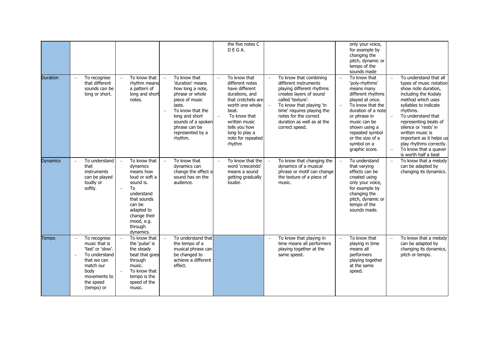| <b>Duration</b> | To recognise<br>$\equiv$<br>that different<br>sounds can be<br>long or short.                                                                      | To know that<br>rhythm means<br>a pattern of<br>long and short<br>notes.                                                                                                                                                            | To know that<br>'duration' means<br>how long a note,<br>phrase or whole<br>piece of music<br>lasts.<br>To know that the<br>$\sim$<br>long and short<br>sounds of a spoken<br>phrase can be<br>represented by a<br>rhythm. | the five notes C<br>DEGA.<br>To know that<br>different notes<br>have different<br>durations, and<br>that crotchets are<br>worth one whole<br>beat.<br>To know that<br>written music<br>tells you how<br>long to play a<br>note for repeated<br>rhythm | To know that combining<br>different instruments<br>playing different rhythms<br>creates layers of sound<br>called 'texture'.<br>To know that playing 'in<br>$\equiv$<br>time' requires playing the<br>notes for the correct<br>duration as well as at the<br>correct speed. | only your voice,<br>for example by<br>changing the<br>pitch, dynamic or<br>tempo of the<br>sounds made<br>To know that<br>$\equiv$<br>'poly-rhythms'<br>means many<br>different rhythms<br>played at once.<br>To know that the<br>duration of a note<br>or phrase in<br>music can be<br>shown using a<br>repeated symbol<br>or the size of a<br>symbol on a<br>graphic score. | To understand that all<br>$\equiv$<br>types of music notation<br>show note duration.<br>including the Kodaly<br>method which uses<br>syllables to indicate<br>rhythms.<br>To understand that<br>$\overline{a}$<br>representing beats of<br>silence or 'rests' in<br>written music is<br>important as it helps us<br>play rhythms correctly.<br>To know that a quaver |
|-----------------|----------------------------------------------------------------------------------------------------------------------------------------------------|-------------------------------------------------------------------------------------------------------------------------------------------------------------------------------------------------------------------------------------|---------------------------------------------------------------------------------------------------------------------------------------------------------------------------------------------------------------------------|-------------------------------------------------------------------------------------------------------------------------------------------------------------------------------------------------------------------------------------------------------|-----------------------------------------------------------------------------------------------------------------------------------------------------------------------------------------------------------------------------------------------------------------------------|-------------------------------------------------------------------------------------------------------------------------------------------------------------------------------------------------------------------------------------------------------------------------------------------------------------------------------------------------------------------------------|----------------------------------------------------------------------------------------------------------------------------------------------------------------------------------------------------------------------------------------------------------------------------------------------------------------------------------------------------------------------|
| <b>Dynamics</b> | To understand<br>$\overline{\phantom{a}}$<br>that<br>instruments<br>can be played<br>loudly or<br>softly.                                          | To know that<br>$\overline{a}$<br>dynamics<br>means how<br>loud or soft a<br>sound is.<br>To<br>$\overline{\phantom{m}}$<br>understand<br>that sounds<br>can be<br>adapted to<br>change their<br>mood, e.g.<br>through<br>dynamics. | To know that<br>$\overline{a}$<br>dynamics can<br>change the effect a<br>sound has on the<br>audience.                                                                                                                    | To know that the<br>$\equiv$<br>word 'crescendo'<br>means a sound<br>getting gradually<br>louder.                                                                                                                                                     | To know that changing the<br>$\overline{\phantom{m}}$<br>dynamics of a musical<br>phrase or motif can change<br>the texture of a piece of<br>music.                                                                                                                         | To understand<br>$\overline{\phantom{a}}$<br>that varying<br>effects can be<br>created using<br>only your voice,<br>for example by<br>changing the<br>pitch, dynamic or<br>tempo of the<br>sounds made.                                                                                                                                                                       | is worth half a beat<br>To know that a melody<br>$\overline{\phantom{a}}$<br>can be adapted by<br>changing its dynamics.                                                                                                                                                                                                                                             |
| Tempo           | To recognise<br>music that is<br>'fast' or 'slow'.<br>To understand<br>that we can<br>match our<br>body<br>movements to<br>the speed<br>(tempo) or | To know that<br>the 'pulse' is<br>the steady<br>beat that goes<br>through<br>music.<br>To know that<br>tempo is the<br>speed of the<br>music.                                                                                       | To understand that<br>the tempo of a<br>musical phrase can<br>be changed to<br>achieve a different<br>effect.                                                                                                             |                                                                                                                                                                                                                                                       | To know that playing in<br>time means all performers<br>playing together at the<br>same speed.                                                                                                                                                                              | To know that<br>playing in time<br>means all<br>performers<br>playing together<br>at the same<br>speed.                                                                                                                                                                                                                                                                       | To know that a melody<br>$\equiv$<br>can be adapted by<br>changing its dynamics,<br>pitch or tempo.                                                                                                                                                                                                                                                                  |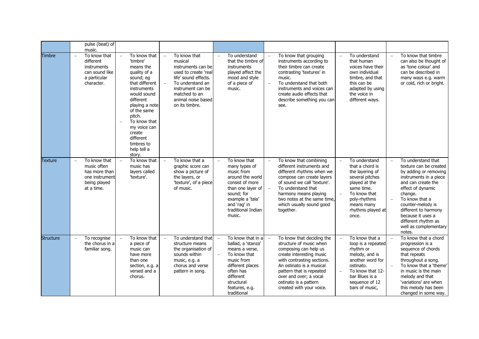|           | pulse (beat) of<br>music.                                                                                                |                                                                                                                                                                                                                                                                                      |                                                                                                                                                                                                 |                                                                                                                                                                                                                   |                                                                                                                                                                                                                                                                                                             |                                                                                                                                                                                            |                                                                                                                                                                                                                                                                                                                             |
|-----------|--------------------------------------------------------------------------------------------------------------------------|--------------------------------------------------------------------------------------------------------------------------------------------------------------------------------------------------------------------------------------------------------------------------------------|-------------------------------------------------------------------------------------------------------------------------------------------------------------------------------------------------|-------------------------------------------------------------------------------------------------------------------------------------------------------------------------------------------------------------------|-------------------------------------------------------------------------------------------------------------------------------------------------------------------------------------------------------------------------------------------------------------------------------------------------------------|--------------------------------------------------------------------------------------------------------------------------------------------------------------------------------------------|-----------------------------------------------------------------------------------------------------------------------------------------------------------------------------------------------------------------------------------------------------------------------------------------------------------------------------|
| Timbre    | To know that<br>$\equiv$<br>different<br>instruments<br>can sound like<br>a particular<br>character.                     | To know that<br>$\equiv$<br>'timbre'<br>means the<br>quality of a<br>sound; eg<br>that different<br>instruments<br>would sound<br>different<br>playing a note<br>of the same<br>pitch.<br>To know that<br>my voice can<br>create<br>different<br>timbres to<br>help tell a<br>story. | To know that<br>musical<br>instruments can be<br>used to create 'real<br>life' sound effects.<br>To understand an<br>instrument can be<br>matched to an<br>animal noise based<br>on its timbre. | To understand<br>$\equiv$<br>that the timbre of<br>instruments<br>played affect the<br>mood and style<br>of a piece of<br>music.                                                                                  | To know that grouping<br>instruments according to<br>their timbre can create<br>contrasting 'textures' in<br>music.<br>To understand that both<br>$\overline{\phantom{a}}$<br>instruments and voices can<br>create audio effects that<br>describe something you can<br>see.                                 | To understand<br>that human<br>voices have their<br>own individual<br>timbre, and that<br>this can be<br>adapted by using<br>the voice in<br>different ways.                               | To know that timbre<br>$\frac{1}{2}$<br>can also be thought of<br>as 'tone colour' and<br>can be described in<br>many ways e.g. warm<br>or cold, rich or bright.                                                                                                                                                            |
| Texture   | To know that<br>$\overline{\phantom{a}}$<br>music often<br>has more than<br>one instrument<br>being played<br>at a time. | To know that<br>music has<br>layers called<br>'texture'.                                                                                                                                                                                                                             | To know that a<br>graphic score can<br>show a picture of<br>the layers, or<br>'texture', of a piece<br>of music.                                                                                | To know that<br>$\equiv$<br>many types of<br>music from<br>around the world<br>consist of more<br>than one layer of<br>sound; for<br>example a 'tala'<br>and 'rag' in<br>traditional Indian<br>music.             | To know that combining<br>$\overline{\phantom{m}}$<br>different instruments and<br>different rhythms when we<br>compose can create layers<br>of sound we call 'texture'.<br>To understand that<br>$\equiv$<br>harmony means playing<br>two notes at the same time,<br>which usually sound good<br>together. | To understand<br>that a chord is<br>the layering of<br>several pitches<br>played at the<br>same time.<br>To know that<br>poly-rhythms<br>means many<br>rhythms played at<br>once.          | To understand that<br>$\equiv$<br>texture can be created<br>by adding or removing<br>instruments in a piece<br>and can create the<br>effect of dynamic<br>change.<br>To know that a<br>$\equiv$<br>counter-melody is<br>different to harmony<br>because it uses a<br>different rhythm as<br>well as complementary<br>notes. |
| Structure | To recognise<br>$\overline{\phantom{0}}$<br>the chorus in a<br>familiar song.                                            | To know that<br>$\equiv$<br>a piece of<br>music can<br>have more<br>than one<br>section, e.g. a<br>versed and a<br>chorus.                                                                                                                                                           | To understand that<br>structure means<br>the organisation of<br>sounds within<br>music, e.g. a<br>chorus and verse<br>pattern in song.                                                          | To know that in a<br>$\equiv$<br>ballad, a 'stanza'<br>means a verse.<br>$\frac{1}{2}$<br>To know that<br>music from<br>different places<br>often has<br>different<br>structural<br>features, e.g.<br>traditional | To know that deciding the<br>$\equiv$<br>structure of music when<br>composing can help us<br>create interesting music<br>with contrasting sections.<br>An ostinato is a musical<br>pattern that is repeated<br>over and over; a vocal<br>ostinato is a pattern<br>created with your voice.                  | To know that a<br>loop is a repeated<br>rhythm or<br>melody, and is<br>another word for<br>ostinato.<br>To know that 12-<br>$\equiv$<br>bar Blues is a<br>sequence of 12<br>bars of music, | To know that a chord<br>progression is a<br>sequence of chords<br>that repeats<br>throughout a song.<br>To know that a 'theme'<br>in music is the main<br>melody and that<br>'variations' are when<br>this melody has been<br>changed in some way.                                                                          |